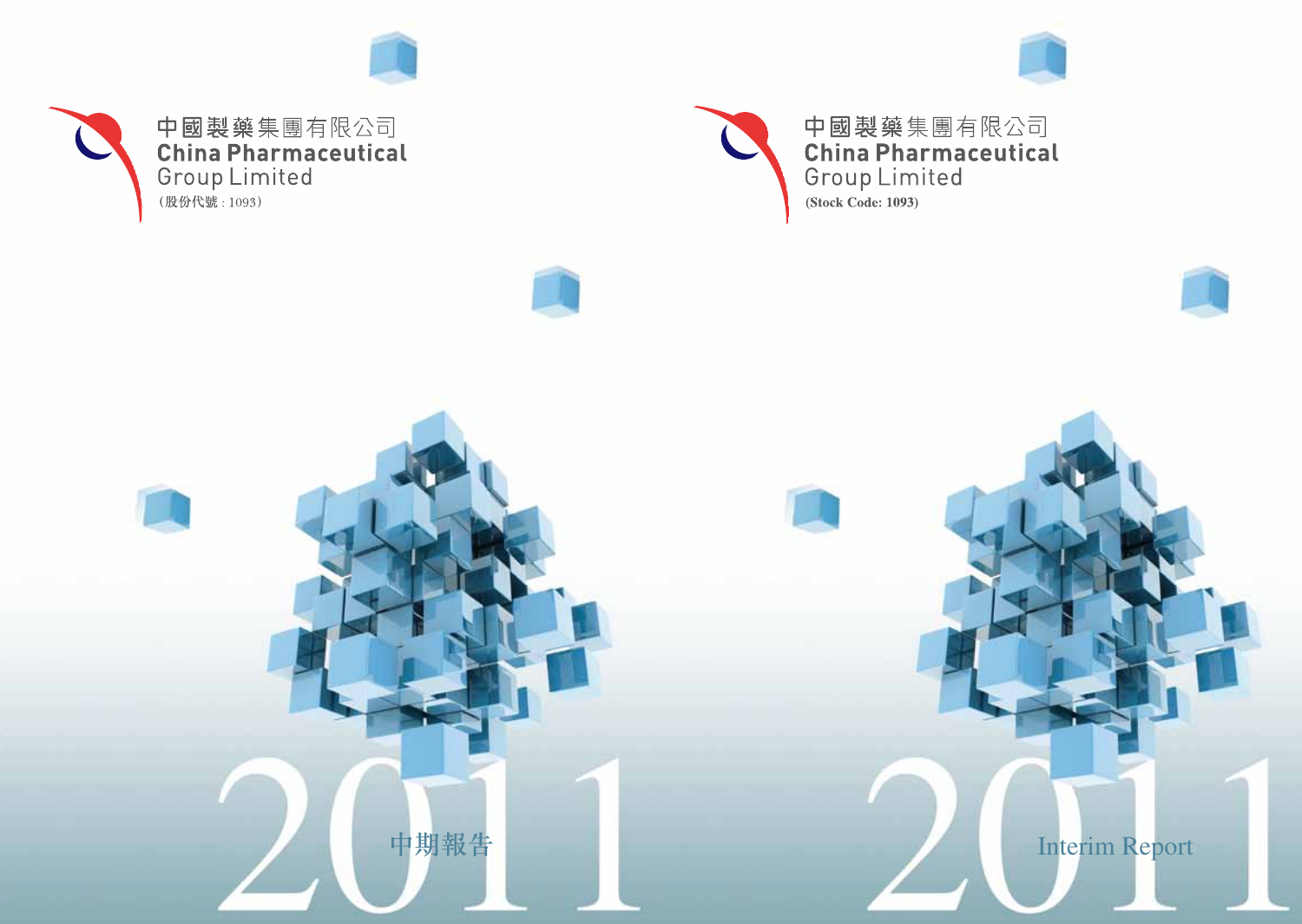



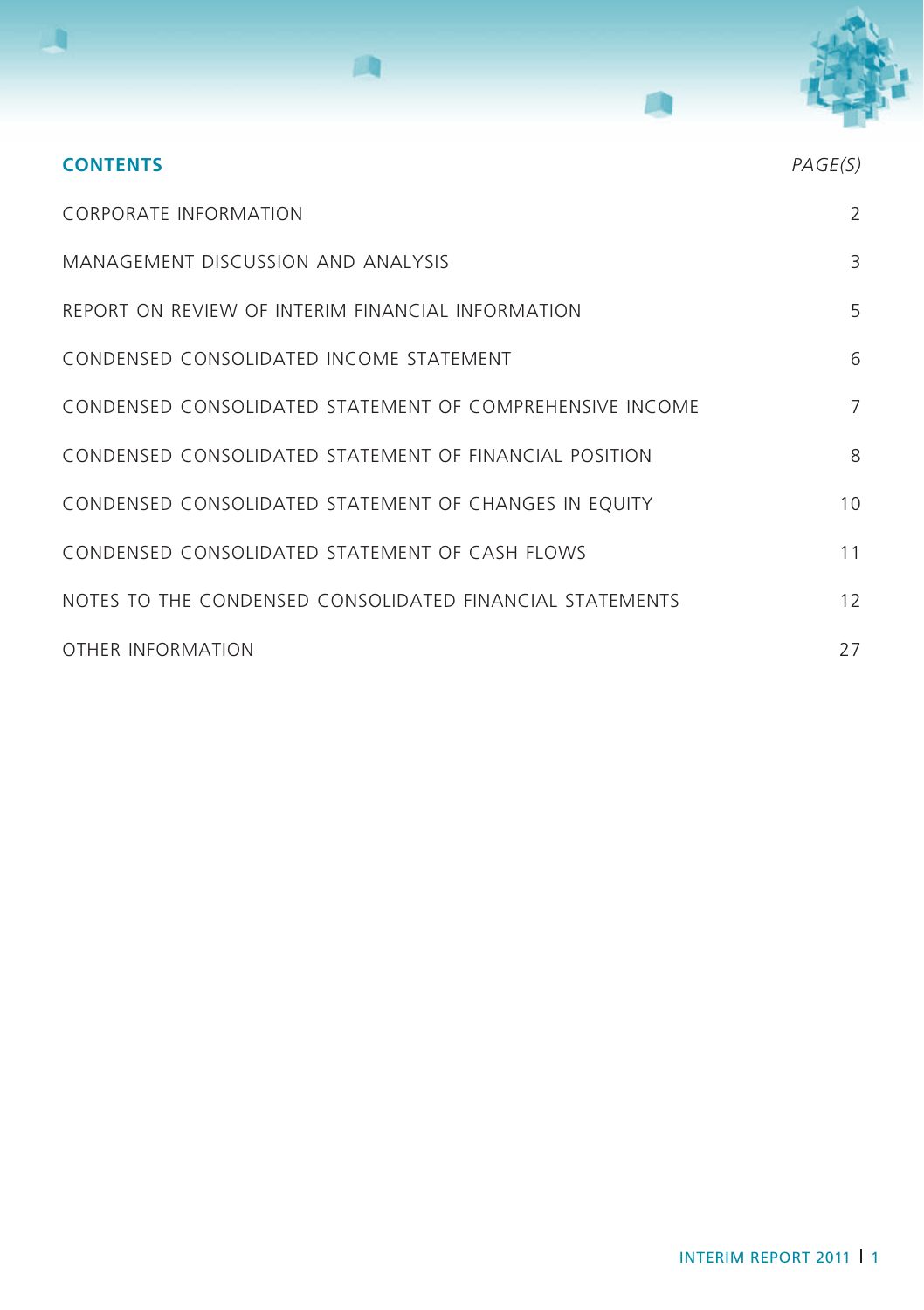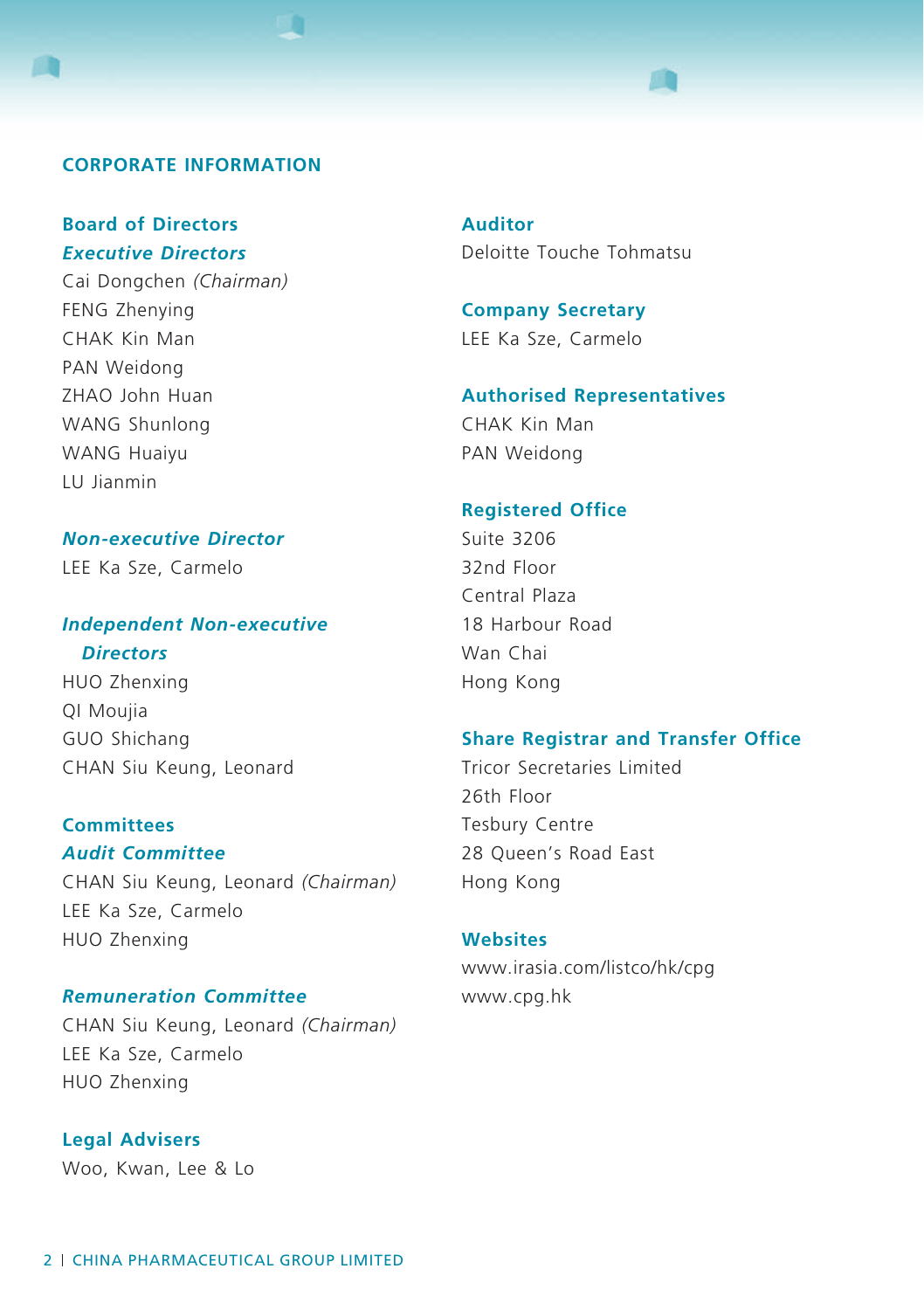# **Corporate Information**

# **Board of Directors** *Executive Directors*

۸b

Cai Dongchen *(Chairman)* FENG Zhenying CHAK Kin Man PAN Weidong ZHAO John Huan WANG Shunlong WANG Huaiyu LU Jianmin

# *Non-executive Director*

LEE Ka Sze, Carmelo

# *Independent Non-executive*

*Directors* HUO Zhenxing QI Moujia GUO Shichang CHAN Siu Keung, Leonard

# **Committees** *Audit Committee*

CHAN Siu Keung, Leonard *(Chairman)* LEE Ka Sze, Carmelo HUO Zhenxing

# *Remuneration Committee*

CHAN Siu Keung, Leonard *(Chairman)* LEE Ka Sze, Carmelo HUO Zhenxing

# **Legal Advisers**

Woo, Kwan, Lee & Lo

**Auditor** Deloitte Touche Tohmatsu

Œ

**Company Secretary** LEE Ka Sze, Carmelo

# **Authorised Representatives**

CHAK Kin Man PAN Weidong

# **Registered Office**

Suite 3206 32nd Floor Central Plaza 18 Harbour Road Wan Chai Hong Kong

# **Share Registrar and Transfer Office**

Tricor Secretaries Limited 26th Floor Tesbury Centre 28 Queen's Road East Hong Kong

#### **Websites**

www.irasia.com/listco/hk/cpg www.cpg.hk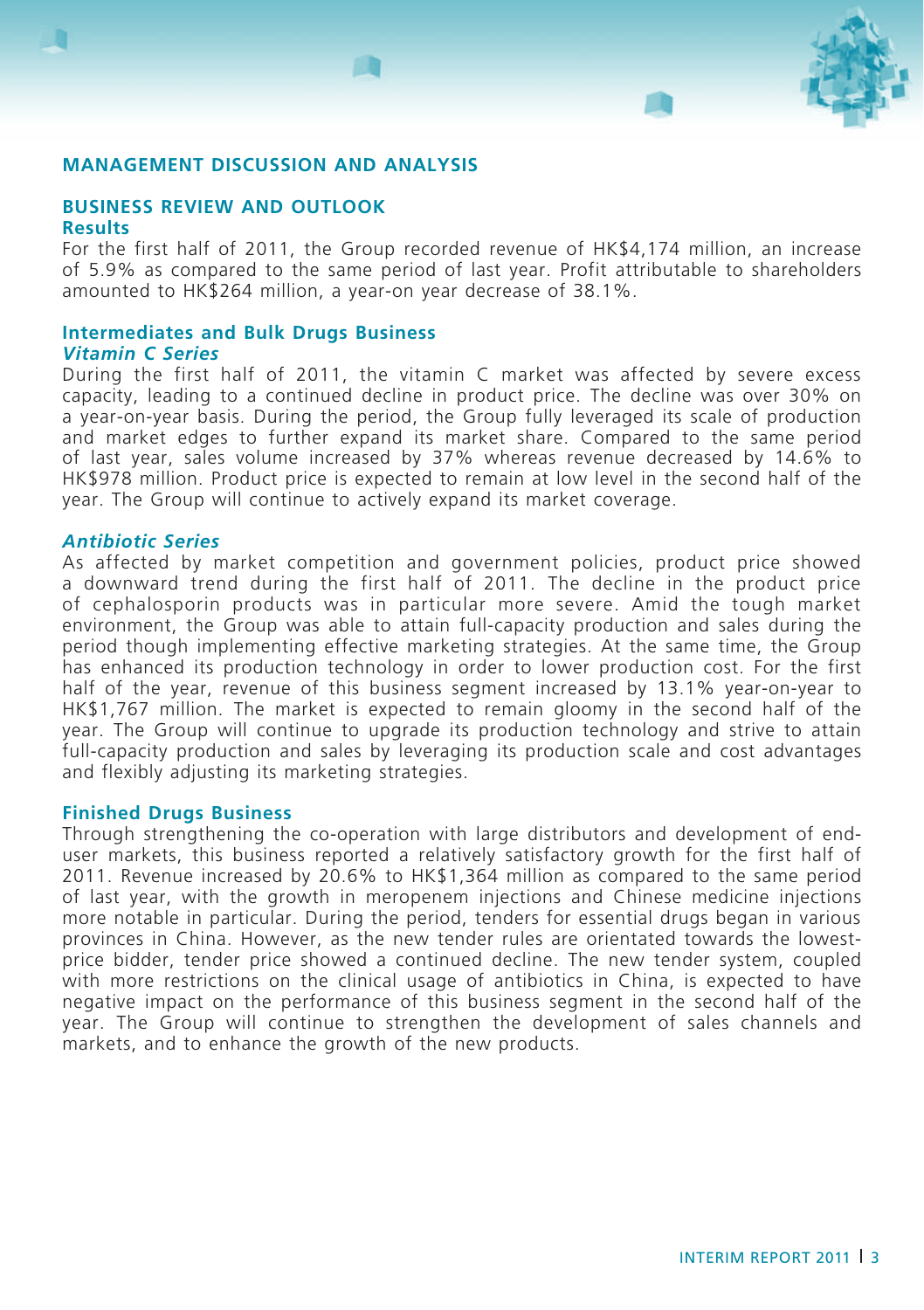#### **management discussion and analysis**

#### **Business Review and Outlook Results**

For the first half of 2011, the Group recorded revenue of HK\$4,174 million, an increase of 5.9% as compared to the same period of last year. Profit attributable to shareholders amounted to HK\$264 million, a year-on year decrease of 38.1%.

#### **Intermediates and Bulk Drugs Business** *Vitamin C Series*

During the first half of 2011, the vitamin C market was affected by severe excess capacity, leading to a continued decline in product price. The decline was over 30% on a year-on-year basis. During the period, the Group fully leveraged its scale of production and market edges to further expand its market share. Compared to the same period of last year, sales volume increased by 37% whereas revenue decreased by 14.6% to HK\$978 million. Product price is expected to remain at low level in the second half of the year. The Group will continue to actively expand its market coverage.

#### *Antibiotic Series*

As affected by market competition and government policies, product price showed a downward trend during the first half of 2011. The decline in the product price of cephalosporin products was in particular more severe. Amid the tough market environment, the Group was able to attain full-capacity production and sales during the period though implementing effective marketing strategies. At the same time, the Group has enhanced its production technology in order to lower production cost. For the first half of the year, revenue of this business segment increased by 13.1% year-on-year to HK\$1,767 million. The market is expected to remain gloomy in the second half of the year. The Group will continue to upgrade its production technology and strive to attain full-capacity production and sales by leveraging its production scale and cost advantages and flexibly adjusting its marketing strategies.

#### **Finished Drugs Business**

Through strengthening the co-operation with large distributors and development of enduser markets, this business reported a relatively satisfactory growth for the first half of 2011. Revenue increased by 20.6% to HK\$1,364 million as compared to the same period of last year, with the growth in meropenem injections and Chinese medicine injections more notable in particular. During the period, tenders for essential drugs began in various provinces in China. However, as the new tender rules are orientated towards the lowestprice bidder, tender price showed a continued decline. The new tender system, coupled with more restrictions on the clinical usage of antibiotics in China, is expected to have negative impact on the performance of this business segment in the second half of the year. The Group will continue to strengthen the development of sales channels and markets, and to enhance the growth of the new products.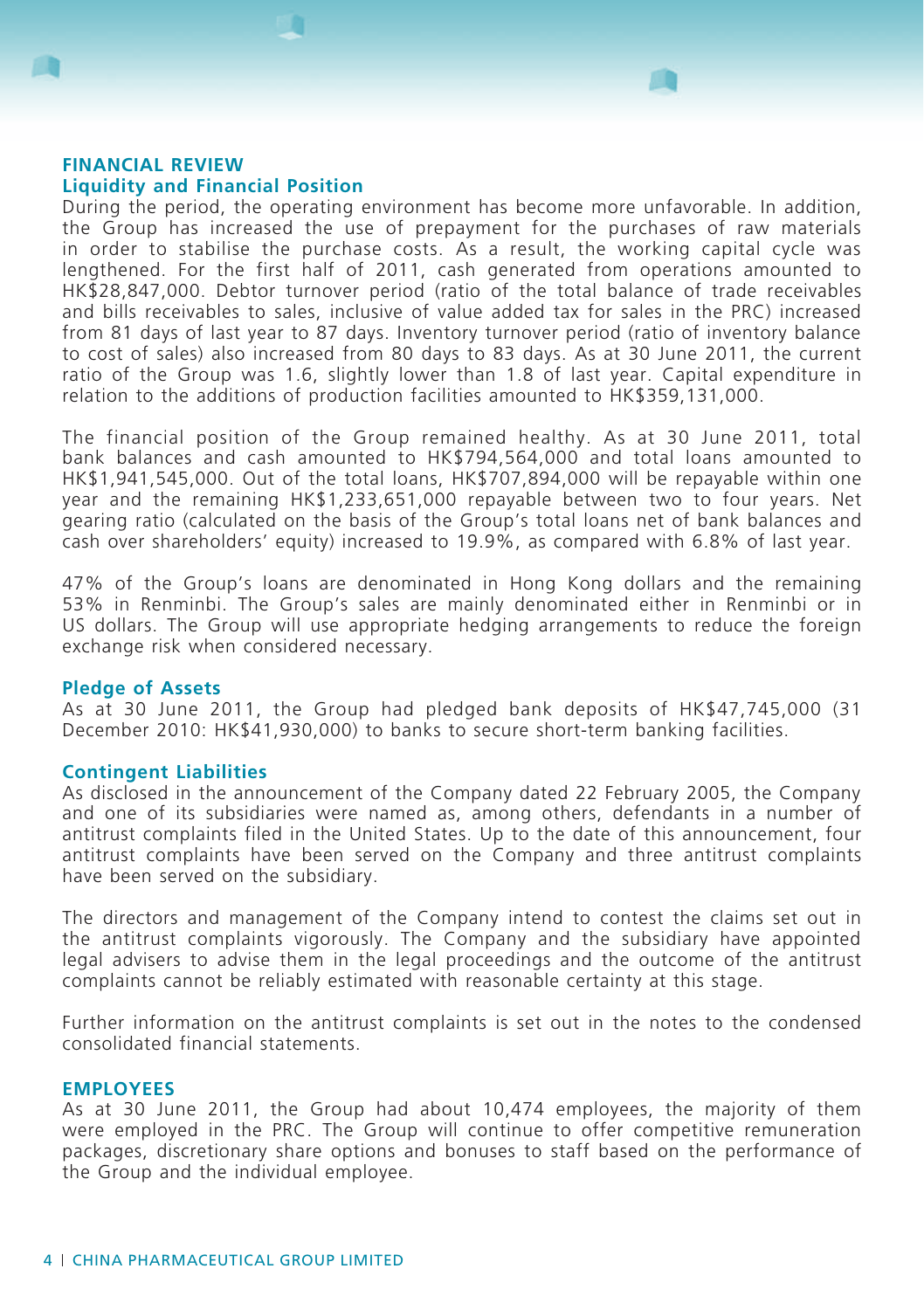## **Financial Review Liquidity and Financial Position**

۸b

During the period, the operating environment has become more unfavorable. In addition, the Group has increased the use of prepayment for the purchases of raw materials in order to stabilise the purchase costs. As a result, the working capital cycle was lengthened. For the first half of 2011, cash generated from operations amounted to HK\$28,847,000. Debtor turnover period (ratio of the total balance of trade receivables and bills receivables to sales, inclusive of value added tax for sales in the PRC) increased from 81 days of last year to 87 days. Inventory turnover period (ratio of inventory balance to cost of sales) also increased from 80 days to 83 days. As at 30 June 2011, the current ratio of the Group was 1.6, slightly lower than 1.8 of last year. Capital expenditure in relation to the additions of production facilities amounted to HK\$359,131,000.

Œ

The financial position of the Group remained healthy. As at 30 June 2011, total bank balances and cash amounted to HK\$794,564,000 and total loans amounted to HK\$1,941,545,000. Out of the total loans, HK\$707,894,000 will be repayable within one year and the remaining HK\$1,233,651,000 repayable between two to four years. Net gearing ratio (calculated on the basis of the Group's total loans net of bank balances and cash over shareholders' equity) increased to 19.9%, as compared with 6.8% of last year.

47% of the Group's loans are denominated in Hong Kong dollars and the remaining 53% in Renminbi. The Group's sales are mainly denominated either in Renminbi or in US dollars. The Group will use appropriate hedging arrangements to reduce the foreign exchange risk when considered necessary.

#### **Pledge of Assets**

As at 30 June 2011, the Group had pledged bank deposits of HK\$47,745,000 (31 December 2010: HK\$41,930,000) to banks to secure short-term banking facilities.

#### **Contingent Liabilities**

As disclosed in the announcement of the Company dated 22 February 2005, the Company and one of its subsidiaries were named as, among others, defendants in a number of antitrust complaints filed in the United States. Up to the date of this announcement, four antitrust complaints have been served on the Company and three antitrust complaints have been served on the subsidiary.

The directors and management of the Company intend to contest the claims set out in the antitrust complaints vigorously. The Company and the subsidiary have appointed legal advisers to advise them in the legal proceedings and the outcome of the antitrust complaints cannot be reliably estimated with reasonable certainty at this stage.

Further information on the antitrust complaints is set out in the notes to the condensed consolidated financial statements.

#### **Employees**

As at 30 June 2011, the Group had about 10,474 employees, the majority of them were employed in the PRC. The Group will continue to offer competitive remuneration packages, discretionary share options and bonuses to staff based on the performance of the Group and the individual employee.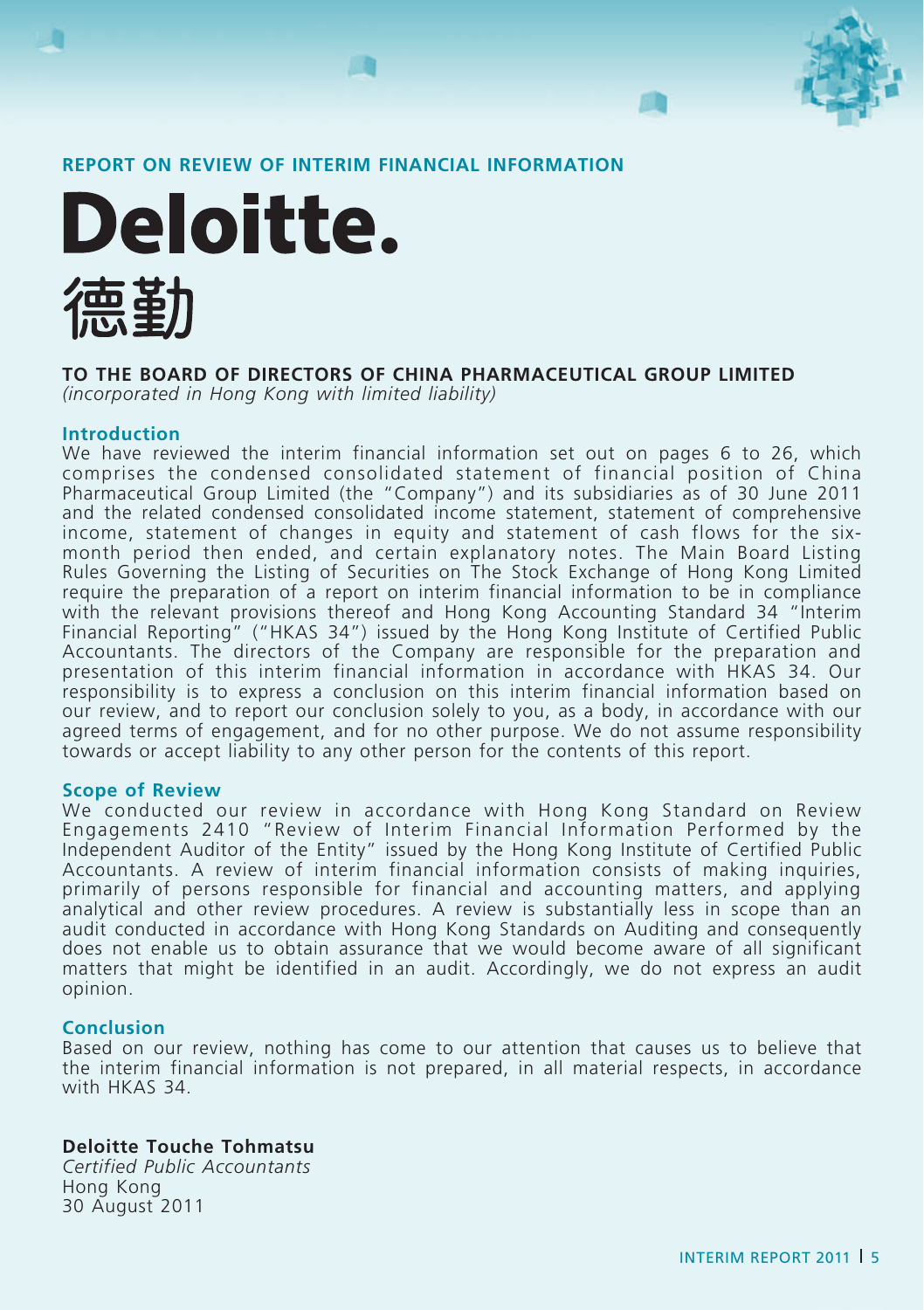

# **REPORT ON REVIEW OF INTERIM FINANCIAL INFORMATION**



# **TO THE BOARD OF DIRECTORS OF CHINA PHARMACEUTICAL GROUP LIMITED**

*(incorporated in Hong Kong with limited liability)*

#### **Introduction**

We have reviewed the interim financial information set out on pages 6 to 26, which comprises the condensed consolidated statement of financial position of China Pharmaceutical Group Limited (the "Company") and its subsidiaries as of 30 June 2011 and the related condensed consolidated income statement, statement of comprehensive income, statement of changes in equity and statement of cash flows for the sixmonth period then ended, and certain explanatory notes. The Main Board Listing Rules Governing the Listing of Securities on The Stock Exchange of Hong Kong Limited require the preparation of a report on interim financial information to be in compliance with the relevant provisions thereof and Hong Kong Accounting Standard 34 "Interim Financial Reporting" ("HKAS 34") issued by the Hong Kong Institute of Certified Public Accountants. The directors of the Company are responsible for the preparation and presentation of this interim financial information in accordance with HKAS 34. Our responsibility is to express a conclusion on this interim financial information based on our review, and to report our conclusion solely to you, as a body, in accordance with our agreed terms of engagement, and for no other purpose. We do not assume responsibility towards or accept liability to any other person for the contents of this report.

#### **Scope of Review**

We conducted our review in accordance with Hong Kong Standard on Review Engagements 2410 "Review of Interim Financial Information Performed by the Independent Auditor of the Entity" issued by the Hong Kong Institute of Certified Public Accountants. A review of interim financial information consists of making inquiries, primarily of persons responsible for financial and accounting matters, and applying analytical and other review procedures. A review is substantially less in scope than an audit conducted in accordance with Hong Kong Standards on Auditing and consequently does not enable us to obtain assurance that we would become aware of all significant matters that might be identified in an audit. Accordingly, we do not express an audit opinion.

# **Conclusion**

Based on our review, nothing has come to our attention that causes us to believe that the interim financial information is not prepared, in all material respects, in accordance with HKAS 34.

#### **Deloitte Touche Tohmatsu**

*Certified Public Accountants* Hong Kong 30 August 2011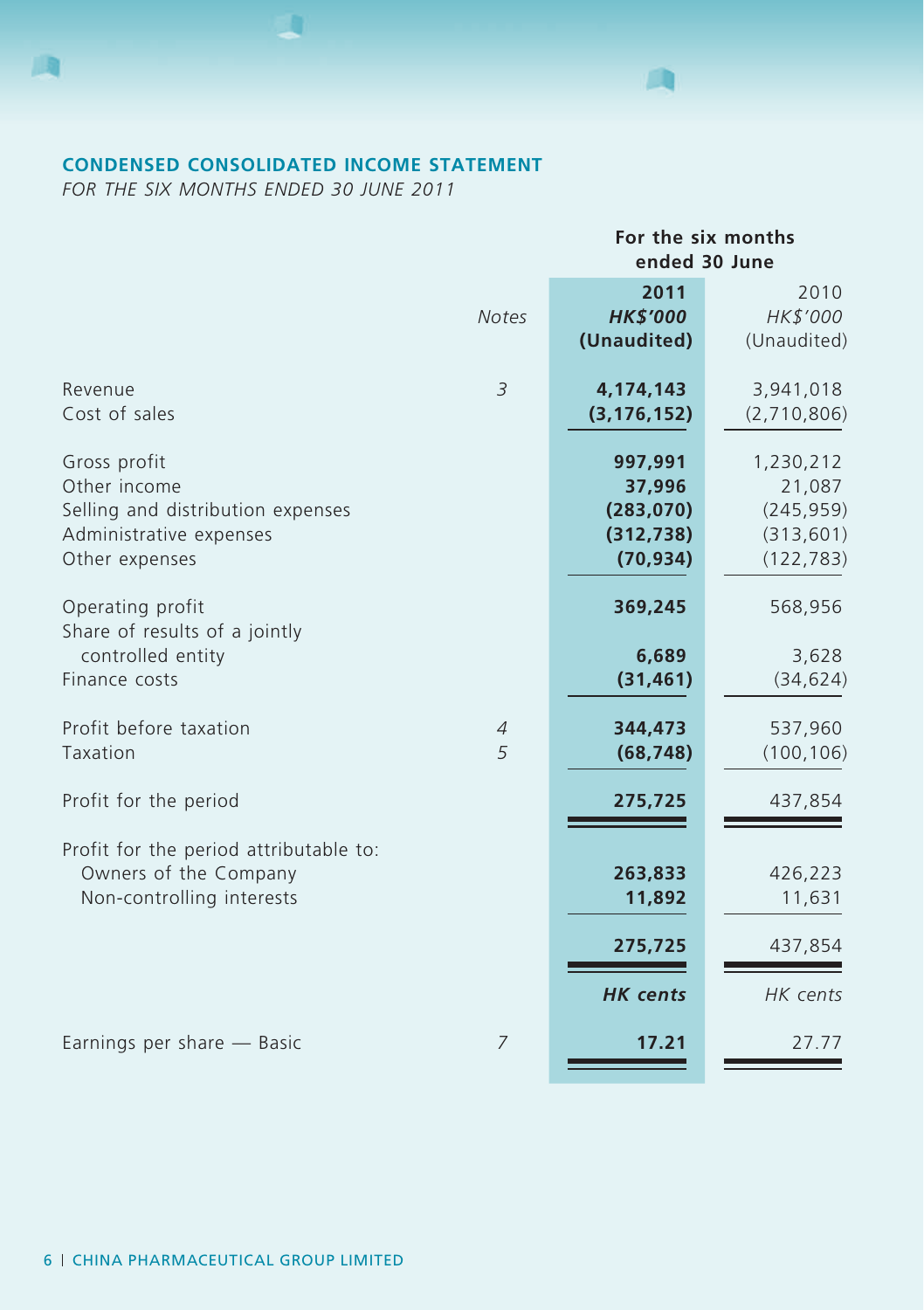# **CONDENSED CONSOLIDATED INCOME STATEMENT**

*FOR THE SIX MONTHS ENDED 30 JUNE 2011*

順

|                     | For the six months<br>ended 30 June                       |                                                               |  |
|---------------------|-----------------------------------------------------------|---------------------------------------------------------------|--|
| <b>Notes</b>        | 2011<br><b>HK\$'000</b><br>(Unaudited)                    | 2010<br>HK\$'000<br>(Unaudited)                               |  |
| 3                   | 4,174,143<br>(3, 176, 152)                                | 3,941,018<br>(2,710,806)                                      |  |
|                     | 997,991<br>37,996<br>(283,070)<br>(312, 738)<br>(70, 934) | 1,230,212<br>21,087<br>(245, 959)<br>(313, 601)<br>(122, 783) |  |
|                     | 369,245<br>6,689<br>(31, 461)                             | 568,956<br>3,628<br>(34, 624)                                 |  |
| $\overline{4}$<br>5 | 344,473<br>(68, 748)                                      | 537,960<br>(100, 106)                                         |  |
|                     | 275,725                                                   | 437,854                                                       |  |
|                     | 263,833<br>11,892                                         | 426,223<br>11,631                                             |  |
|                     | 275,725                                                   | 437,854                                                       |  |
|                     | <b>HK</b> cents                                           | HK cents                                                      |  |
| $\overline{7}$      | 17.21                                                     | 27.77                                                         |  |
|                     |                                                           |                                                               |  |

m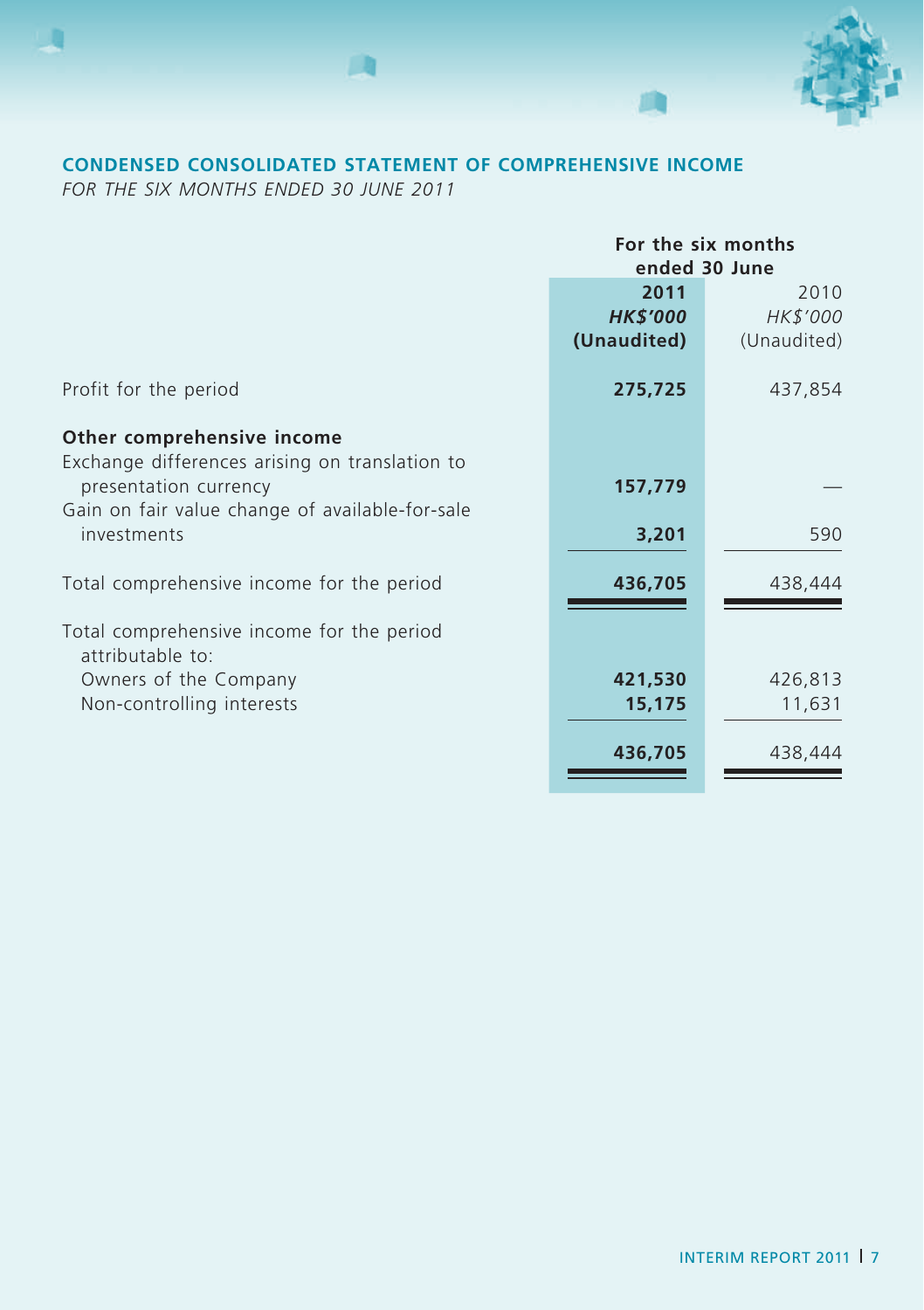

**SOF** 

# **CONDENSED CONSOLIDATED STATEMENT OF COMPREHENSIVE INCOME**

*FOR THE SIX MONTHS ENDED 30 JUNE 2011*

|                                                                         | For the six months<br>ended 30 June |                   |  |
|-------------------------------------------------------------------------|-------------------------------------|-------------------|--|
|                                                                         | 2011<br><b>HK\$'000</b>             | 2010<br>HK\$'000  |  |
|                                                                         | (Unaudited)                         | (Unaudited)       |  |
| Profit for the period                                                   | 275,725                             | 437,854           |  |
| Other comprehensive income                                              |                                     |                   |  |
| Exchange differences arising on translation to<br>presentation currency | 157,779                             |                   |  |
| Gain on fair value change of available-for-sale<br>investments          | 3,201                               | 590               |  |
| Total comprehensive income for the period                               | 436,705                             | 438,444           |  |
| Total comprehensive income for the period<br>attributable to:           |                                     |                   |  |
| Owners of the Company<br>Non-controlling interests                      | 421,530<br>15,175                   | 426,813<br>11,631 |  |
|                                                                         |                                     |                   |  |
|                                                                         | 436,705                             | 438,444           |  |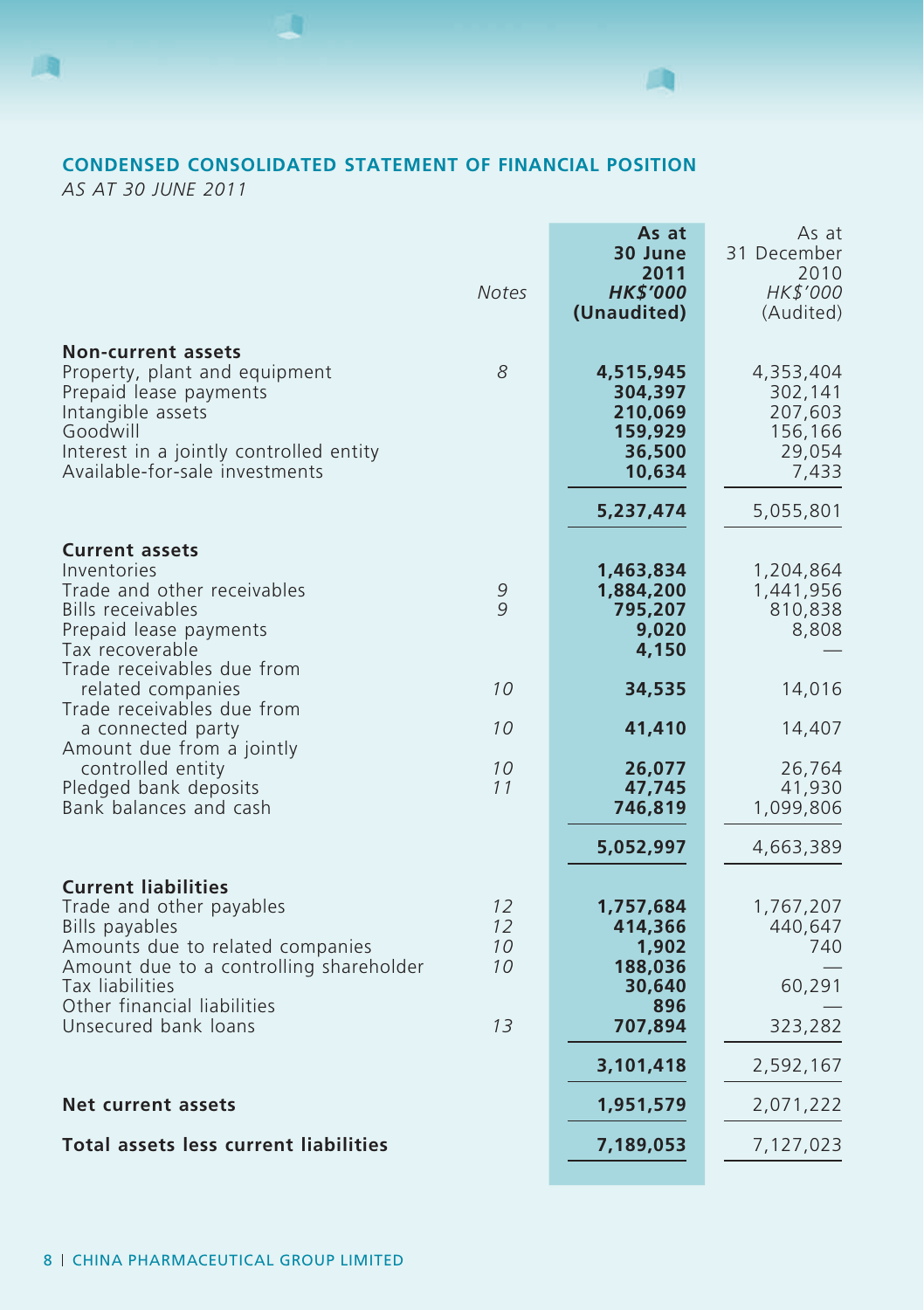# **CONDENSED CONSOLIDATED STATEMENT OF FINANCIAL POSITION**

m

*AS AT 30 JUNE 2011*

۱D

|                                                                                                                                                                                                                                   | <b>Notes</b>               | As at<br>30 June<br>2011<br><b>HK\$'000</b><br>(Unaudited)           | As at<br>31 December<br>2010<br>HK\$'000<br>(Audited)         |
|-----------------------------------------------------------------------------------------------------------------------------------------------------------------------------------------------------------------------------------|----------------------------|----------------------------------------------------------------------|---------------------------------------------------------------|
| <b>Non-current assets</b><br>Property, plant and equipment<br>Prepaid lease payments<br>Intangible assets<br>Goodwill<br>Interest in a jointly controlled entity<br>Available-for-sale investments                                | 8                          | 4,515,945<br>304,397<br>210,069<br>159,929<br>36,500<br>10,634       | 4,353,404<br>302,141<br>207,603<br>156,166<br>29,054<br>7,433 |
|                                                                                                                                                                                                                                   |                            | 5,237,474                                                            | 5,055,801                                                     |
| <b>Current assets</b><br>Inventories<br>Trade and other receivables<br><b>Bills receivables</b><br>Prepaid lease payments<br>Tax recoverable                                                                                      | 9<br>$\mathsf{Q}$          | 1,463,834<br>1,884,200<br>795,207<br>9,020<br>4,150                  | 1,204,864<br>1,441,956<br>810,838<br>8,808                    |
| Trade receivables due from<br>related companies                                                                                                                                                                                   | 10                         | 34,535                                                               | 14,016                                                        |
| Trade receivables due from<br>a connected party                                                                                                                                                                                   | 10                         | 41,410                                                               | 14,407                                                        |
| Amount due from a jointly<br>controlled entity<br>Pledged bank deposits<br>Bank balances and cash                                                                                                                                 | 10<br>11                   | 26,077<br>47,745<br>746,819                                          | 26,764<br>41,930<br>1,099,806                                 |
|                                                                                                                                                                                                                                   |                            | 5,052,997                                                            | 4,663,389                                                     |
| <b>Current liabilities</b><br>Trade and other payables<br>Bills payables<br>Amounts due to related companies<br>Amount due to a controlling shareholder<br>Tax liabilities<br>Other financial liabilities<br>Unsecured bank loans | 12<br>12<br>10<br>10<br>13 | 1,757,684<br>414,366<br>1,902<br>188,036<br>30,640<br>896<br>707,894 | 1,767,207<br>440,647<br>740.<br>60,291<br>323,282             |
|                                                                                                                                                                                                                                   |                            | 3,101,418                                                            | 2,592,167                                                     |
| Net current assets                                                                                                                                                                                                                |                            | 1,951,579                                                            | 2,071,222                                                     |
| Total assets less current liabilities                                                                                                                                                                                             |                            | 7,189,053                                                            | 7,127,023                                                     |
|                                                                                                                                                                                                                                   |                            |                                                                      |                                                               |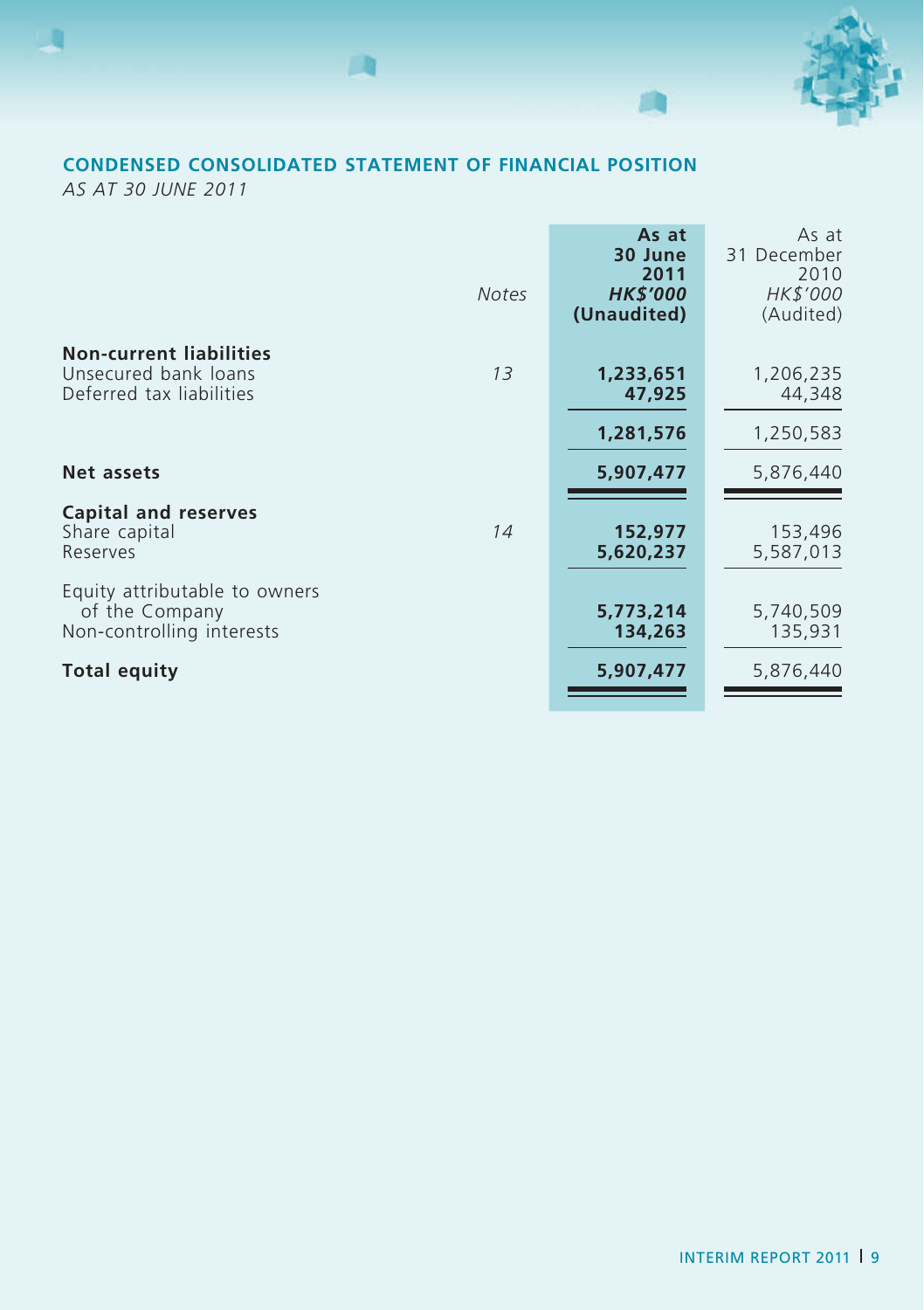

*AS AT 30 JUNE 2011*

|                                                                                    | <b>Notes</b> | As at<br>30 June<br>2011<br><b>HK\$'000</b><br>(Unaudited) | As at<br>31 December<br>2010<br>HK\$'000<br>(Audited) |
|------------------------------------------------------------------------------------|--------------|------------------------------------------------------------|-------------------------------------------------------|
| <b>Non-current liabilities</b><br>Unsecured bank loans<br>Deferred tax liabilities | 13           | 1,233,651<br>47,925                                        | 1,206,235<br>44,348                                   |
|                                                                                    |              | 1,281,576                                                  | 1,250,583                                             |
| Net assets                                                                         |              | 5,907,477                                                  | 5,876,440                                             |
| Capital and reserves<br>Share capital<br>Reserves                                  | 14           | 152,977<br>5,620,237                                       | 153,496<br>5,587,013                                  |
| Equity attributable to owners<br>of the Company<br>Non-controlling interests       |              | 5,773,214<br>134,263                                       | 5,740,509<br>135,931                                  |
| Total equity                                                                       |              | 5,907,477                                                  | 5,876,440                                             |
|                                                                                    |              |                                                            |                                                       |

**SOF**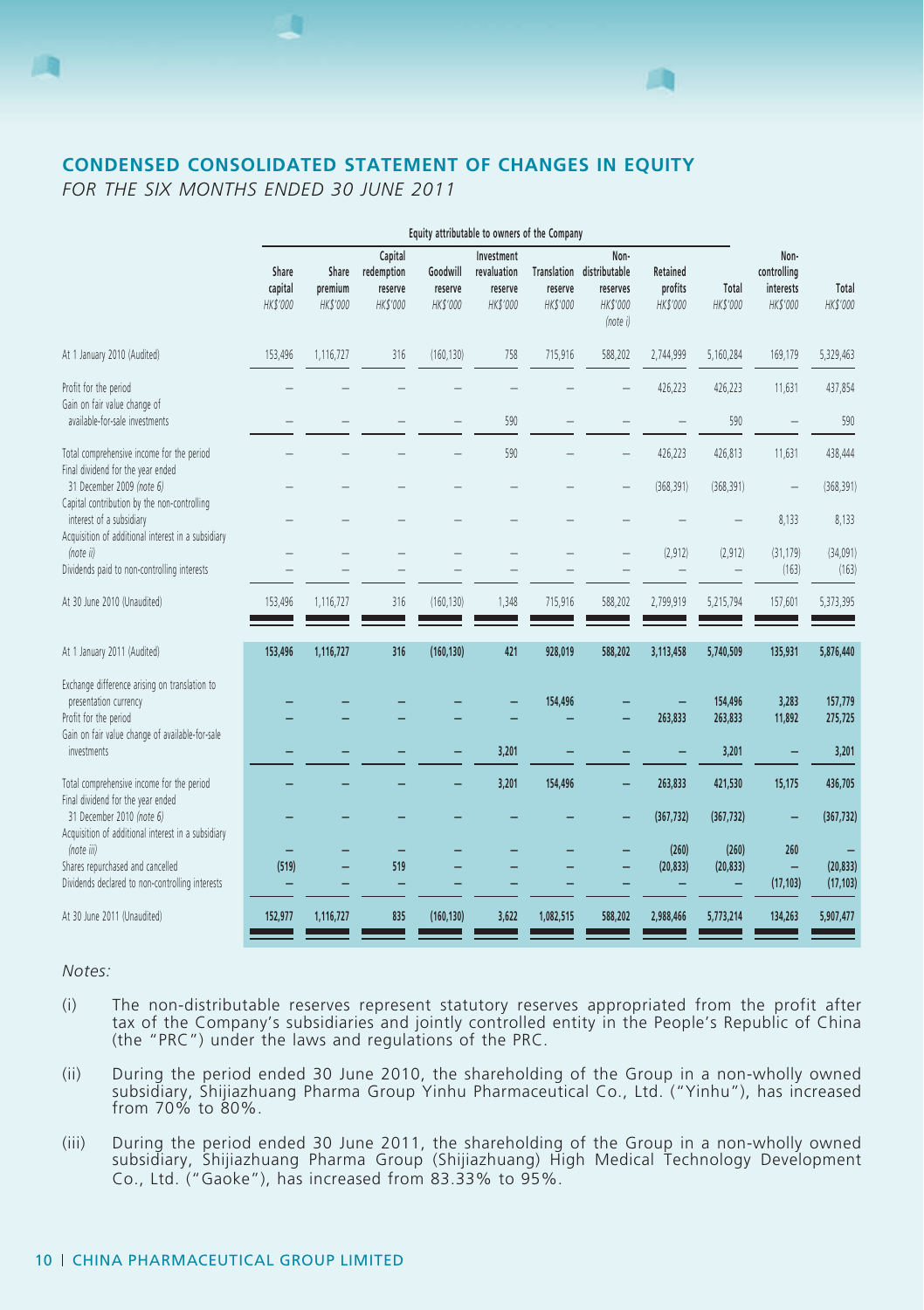# **CONDENSED CONSOLIDATED STATEMENT OF CHANGES IN EQUITY**

*FOR THE SIX MONTHS ENDED 30 JUNE 2011*

|                                                                                                                               |                              |                              |                                              |                                 | Equity attributable to owners of the Company     |                     |                                                                       |                                 |                    |                                              |                        |
|-------------------------------------------------------------------------------------------------------------------------------|------------------------------|------------------------------|----------------------------------------------|---------------------------------|--------------------------------------------------|---------------------|-----------------------------------------------------------------------|---------------------------------|--------------------|----------------------------------------------|------------------------|
|                                                                                                                               | Share<br>capital<br>HK\$'000 | Share<br>premium<br>HK\$'000 | Capital<br>redemption<br>reserve<br>HK\$'000 | Goodwill<br>reserve<br>HK\$'000 | Investment<br>revaluation<br>reserve<br>HK\$'000 | reserve<br>HK\$'000 | Non-<br>Translation distributable<br>reserves<br>HK\$'000<br>(note i) | Retained<br>profits<br>HK\$'000 | Total<br>HK\$'000  | Non-<br>controlling<br>interests<br>HK\$'000 | Total<br>HK\$'000      |
| At 1 January 2010 (Audited)                                                                                                   | 153,496                      | 1,116,727                    | 316                                          | (160, 130)                      | 758                                              | 715,916             | 588,202                                                               | 2,744,999                       | 5,160,284          | 169,179                                      | 5,329,463              |
| Profit for the period<br>Gain on fair value change of                                                                         |                              |                              |                                              |                                 |                                                  |                     |                                                                       | 426,223                         | 426,223            | 11,631                                       | 437,854                |
| available-for-sale investments                                                                                                |                              |                              |                                              |                                 | 590                                              |                     |                                                                       |                                 | 590                |                                              | 590                    |
| Total comprehensive income for the period<br>Final dividend for the year ended                                                |                              |                              |                                              |                                 | 590                                              |                     |                                                                       | 426,223                         | 426,813            | 11,631                                       | 438,444                |
| 31 December 2009 (note 6)                                                                                                     |                              |                              |                                              |                                 |                                                  |                     |                                                                       | (368, 391)                      | (368, 391)         |                                              | (368, 391)             |
| Capital contribution by the non-controlling<br>interest of a subsidiary<br>Acquisition of additional interest in a subsidiary |                              |                              |                                              |                                 |                                                  |                     |                                                                       |                                 |                    | 8,133                                        | 8,133                  |
| (note ii)<br>Dividends paid to non-controlling interests                                                                      |                              |                              |                                              |                                 |                                                  |                     |                                                                       | (2,912)                         | (2,912)            | (31, 179)<br>(163)                           | (34, 091)<br>(163)     |
| At 30 June 2010 (Unaudited)                                                                                                   | 153,496                      | 1,116,727                    | 316                                          | (160, 130)                      | 1,348                                            | 715,916             | 588,202                                                               | 2,799,919                       | 5,215,794          | 157,601                                      | 5,373,395              |
| At 1 January 2011 (Audited)                                                                                                   | 153,496                      | 1,116,727                    | 316                                          | (160, 130)                      | 421                                              | 928,019             | 588,202                                                               | 3,113,458                       | 5,740,509          | 135,931                                      | 5,876,440              |
| Exchange difference arising on translation to<br>presentation currency<br>Profit for the period                               |                              |                              |                                              |                                 |                                                  | 154,496             |                                                                       | 263,833                         | 154,496<br>263,833 | 3,283<br>11,892                              | 157,779<br>275,725     |
| Gain on fair value change of available-for-sale<br>investments                                                                |                              |                              |                                              |                                 | 3,201                                            |                     |                                                                       |                                 | 3,201              |                                              | 3,201                  |
| Total comprehensive income for the period                                                                                     |                              |                              |                                              |                                 | 3,201                                            | 154,496             |                                                                       | 263,833                         | 421,530            | 15,175                                       | 436,705                |
| Final dividend for the year ended<br>31 December 2010 (note 6)<br>Acquisition of additional interest in a subsidiary          |                              |                              |                                              |                                 |                                                  |                     |                                                                       | (367, 732)                      | (367, 732)         |                                              | (367, 732)             |
| (note iii)                                                                                                                    |                              |                              |                                              |                                 |                                                  |                     |                                                                       | (260)                           | (260)              | 260                                          |                        |
| Shares repurchased and cancelled<br>Dividends declared to non-controlling interests                                           | (519)                        |                              | 519                                          |                                 |                                                  |                     |                                                                       | (20, 833)                       | (20, 833)          | -<br>(17, 103)                               | (20, 833)<br>(17, 103) |
| At 30 June 2011 (Unaudited)                                                                                                   | 152,977                      | 1,116,727                    | 835                                          | (160, 130)                      | 3,622                                            | 1,082,515           | 588,202                                                               | 2,988,466                       | 5,773,214          | 134,263                                      | 5,907,477              |

*Notes:*

- (i) The non-distributable reserves represent statutory reserves appropriated from the profit after tax of the Company's subsidiaries and jointly controlled entity in the People's Republic of China (the "PRC") under the laws and regulations of the PRC.
- (ii) During the period ended 30 June 2010, the shareholding of the Group in a non-wholly owned subsidiary, Shijiazhuang Pharma Group Yinhu Pharmaceutical Co., Ltd. ("Yinhu"), has increased from 70% to 80%.
- (iii) During the period ended 30 June 2011, the shareholding of the Group in a non-wholly owned subsidiary, Shijiazhuang Pharma Group (Shijiazhuang) High Medical Technology Development Co., Ltd. ("Gaoke"), has increased from 83.33% to 95%.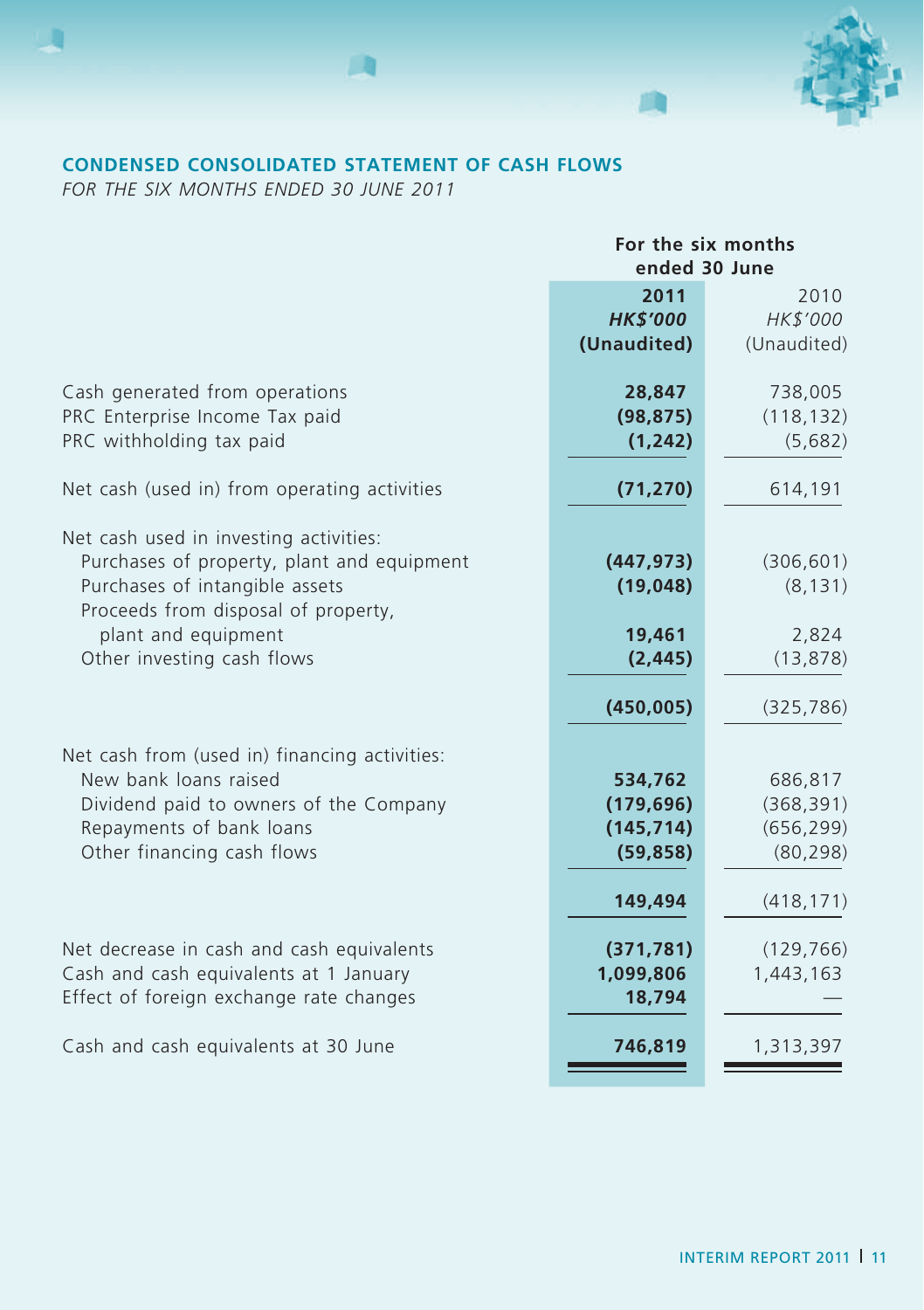# **CONDENSED CONSOLIDATED STATEMENT OF CASH FLOWS**

*FOR THE SIX MONTHS ENDED 30 JUNE 2011*

|                                                                                                                                                                            | For the six months<br>ended 30 June                         |                                                                |  |
|----------------------------------------------------------------------------------------------------------------------------------------------------------------------------|-------------------------------------------------------------|----------------------------------------------------------------|--|
|                                                                                                                                                                            | 2011<br><b>HK\$'000</b><br>(Unaudited)                      | 2010<br>HK\$'000<br>(Unaudited)                                |  |
| Cash generated from operations<br>PRC Enterprise Income Tax paid<br>PRC withholding tax paid                                                                               | 28,847<br>(98, 875)<br>(1, 242)                             | 738,005<br>(118, 132)<br>(5,682)                               |  |
| Net cash (used in) from operating activities                                                                                                                               | (71, 270)                                                   | 614,191                                                        |  |
| Net cash used in investing activities:<br>Purchases of property, plant and equipment<br>Purchases of intangible assets<br>Proceeds from disposal of property,              | (447, 973)<br>(19,048)                                      | (306, 601)<br>(8, 131)                                         |  |
| plant and equipment<br>Other investing cash flows                                                                                                                          | 19,461<br>(2, 445)                                          | 2,824<br>(13, 878)                                             |  |
|                                                                                                                                                                            | (450,005)                                                   | (325, 786)                                                     |  |
| Net cash from (used in) financing activities:<br>New bank loans raised<br>Dividend paid to owners of the Company<br>Repayments of bank loans<br>Other financing cash flows | 534,762<br>(179, 696)<br>(145, 714)<br>(59, 858)<br>149,494 | 686,817<br>(368, 391)<br>(656, 299)<br>(80, 298)<br>(418, 171) |  |
| Net decrease in cash and cash equivalents<br>Cash and cash equivalents at 1 January<br>Effect of foreign exchange rate changes                                             | (371, 781)<br>1,099,806<br>18,794                           | (129, 766)<br>1,443,163                                        |  |
| Cash and cash equivalents at 30 June                                                                                                                                       | 746,819                                                     | 1,313,397                                                      |  |

**ATT**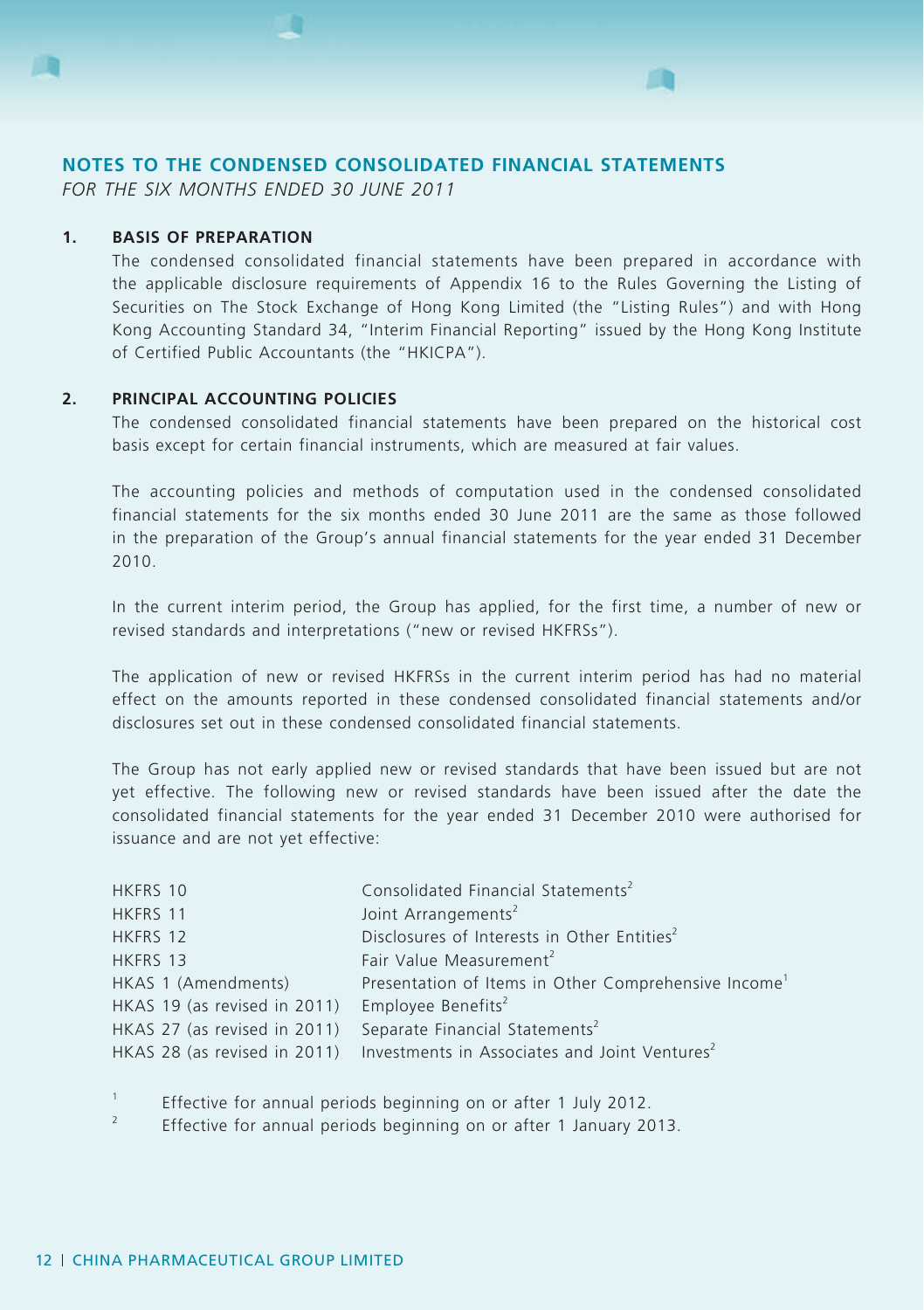

*FOR THE SIX MONTHS ENDED 30 JUNE 2011*

# **1. BASIS OF PREPARATION**

The condensed consolidated financial statements have been prepared in accordance with the applicable disclosure requirements of Appendix 16 to the Rules Governing the Listing of Securities on The Stock Exchange of Hong Kong Limited (the "Listing Rules") and with Hong Kong Accounting Standard 34, "Interim Financial Reporting" issued by the Hong Kong Institute of Certified Public Accountants (the "HKICPA").

# **2. Principal Accounting Policies**

The condensed consolidated financial statements have been prepared on the historical cost basis except for certain financial instruments, which are measured at fair values.

The accounting policies and methods of computation used in the condensed consolidated financial statements for the six months ended 30 June 2011 are the same as those followed in the preparation of the Group's annual financial statements for the year ended 31 December 2010.

In the current interim period, the Group has applied, for the first time, a number of new or revised standards and interpretations ("new or revised HKFRSs").

The application of new or revised HKFRSs in the current interim period has had no material effect on the amounts reported in these condensed consolidated financial statements and/or disclosures set out in these condensed consolidated financial statements.

The Group has not early applied new or revised standards that have been issued but are not yet effective. The following new or revised standards have been issued after the date the consolidated financial statements for the year ended 31 December 2010 were authorised for issuance and are not yet effective:

| HKFRS 10                     | Consolidated Financial Statements <sup>2</sup>                   |
|------------------------------|------------------------------------------------------------------|
| HKFRS 11                     | Joint Arrangements <sup>2</sup>                                  |
| HKFRS 12                     | Disclosures of Interests in Other Entities <sup>2</sup>          |
| HKFRS 13                     | Fair Value Measurement <sup>2</sup>                              |
| HKAS 1 (Amendments)          | Presentation of Items in Other Comprehensive Income <sup>1</sup> |
| HKAS 19 (as revised in 2011) | Employee Benefits <sup>2</sup>                                   |
| HKAS 27 (as revised in 2011) | Separate Financial Statements <sup>2</sup>                       |
| HKAS 28 (as revised in 2011) | Investments in Associates and Joint Ventures <sup>2</sup>        |
|                              |                                                                  |

- 1 Effective for annual periods beginning on or after 1 July 2012.
- $\overline{2}$ Effective for annual periods beginning on or after 1 January 2013.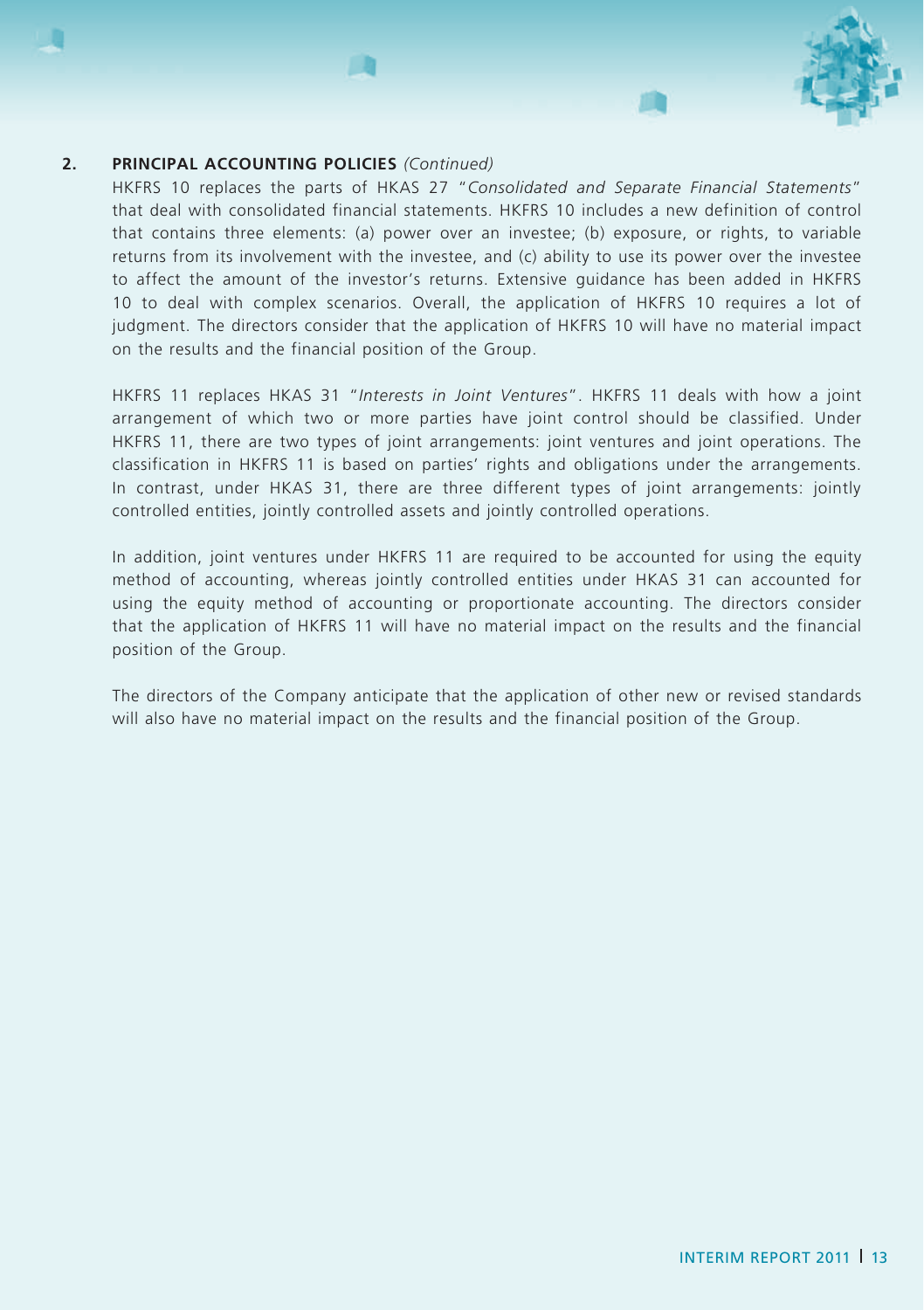

#### **2. Principal Accounting Policies** *(Continued)*

HKFRS 10 replaces the parts of HKAS 27 "*Consolidated and Separate Financial Statements*" that deal with consolidated financial statements. HKFRS 10 includes a new definition of control that contains three elements: (a) power over an investee; (b) exposure, or rights, to variable returns from its involvement with the investee, and (c) ability to use its power over the investee to affect the amount of the investor's returns. Extensive guidance has been added in HKFRS 10 to deal with complex scenarios. Overall, the application of HKFRS 10 requires a lot of judgment. The directors consider that the application of HKFRS 10 will have no material impact on the results and the financial position of the Group.

HKFRS 11 replaces HKAS 31 "*Interests in Joint Ventures*". HKFRS 11 deals with how a joint arrangement of which two or more parties have joint control should be classified. Under HKFRS 11, there are two types of joint arrangements: joint ventures and joint operations. The classification in HKFRS 11 is based on parties' rights and obligations under the arrangements. In contrast, under HKAS 31, there are three different types of joint arrangements: jointly controlled entities, jointly controlled assets and jointly controlled operations.

In addition, joint ventures under HKFRS 11 are required to be accounted for using the equity method of accounting, whereas jointly controlled entities under HKAS 31 can accounted for using the equity method of accounting or proportionate accounting. The directors consider that the application of HKFRS 11 will have no material impact on the results and the financial position of the Group.

The directors of the Company anticipate that the application of other new or revised standards will also have no material impact on the results and the financial position of the Group.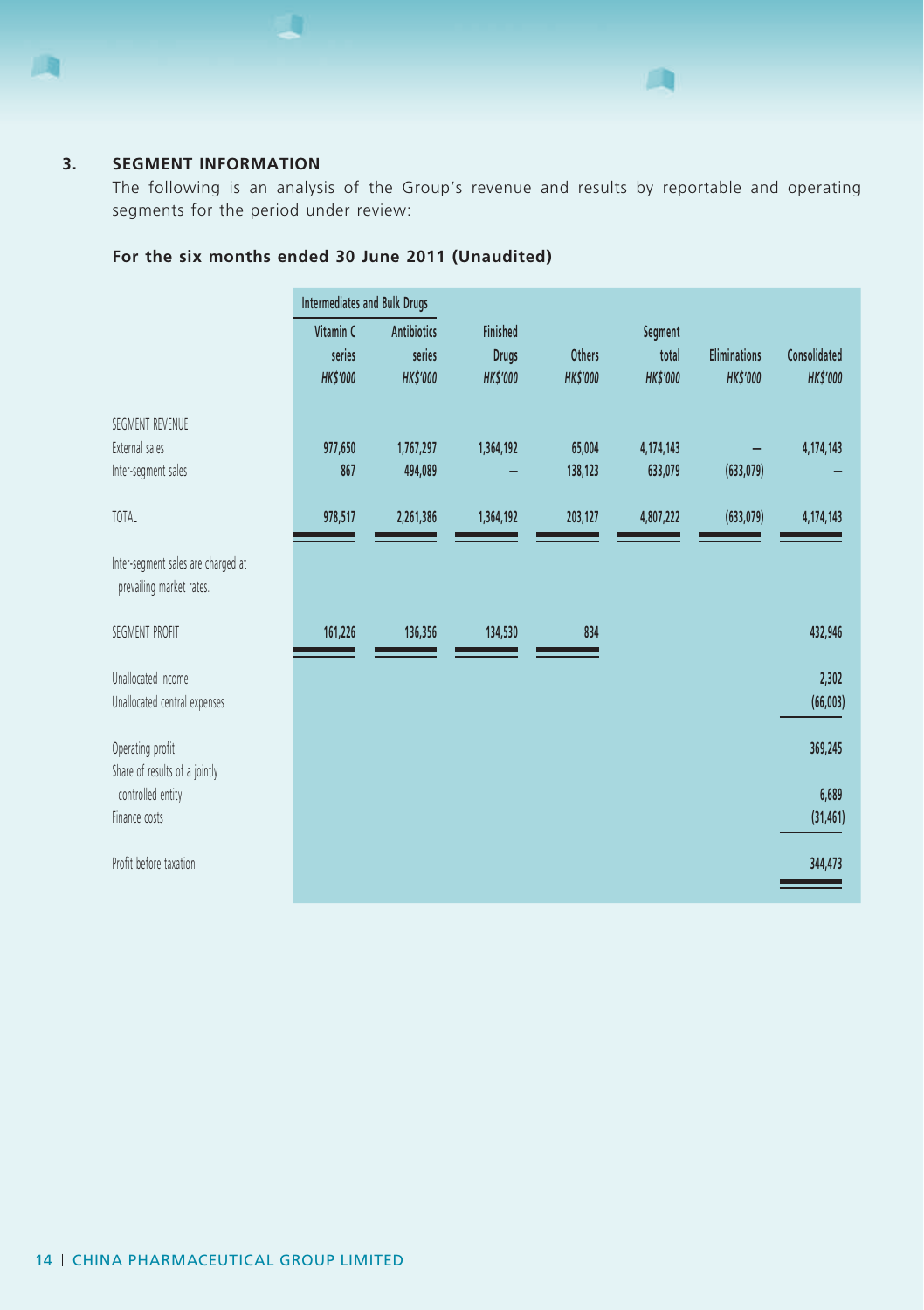

# **3. SEGMENT INFORMATION**

The following is an analysis of the Group's revenue and results by reportable and operating segments for the period under review:

m

|                                                                | <b>Intermediates and Bulk Drugs</b>   |                                                |                                                   |                                 |                                    |                                       |                                 |
|----------------------------------------------------------------|---------------------------------------|------------------------------------------------|---------------------------------------------------|---------------------------------|------------------------------------|---------------------------------------|---------------------------------|
|                                                                | Vitamin C<br>series<br><b>HKS'000</b> | <b>Antibiotics</b><br>series<br><b>HKS'000</b> | <b>Finished</b><br><b>Drugs</b><br><b>HKS'000</b> | <b>Others</b><br><b>HKS'000</b> | Segment<br>total<br><b>HKS'000</b> | <b>Eliminations</b><br><b>HKS'000</b> | Consolidated<br><b>HK\$'000</b> |
| SEGMENT REVENUE<br>External sales<br>Inter-segment sales       | 977,650<br>867                        | 1,767,297<br>494,089                           | 1,364,192                                         | 65,004<br>138,123               | 4,174,143<br>633,079               | (633,079)                             | 4,174,143                       |
| <b>TOTAL</b>                                                   | 978,517                               | 2,261,386                                      | 1,364,192                                         | 203,127                         | 4,807,222                          | (633, 079)                            | 4,174,143                       |
| Inter-segment sales are charged at<br>prevailing market rates. |                                       |                                                |                                                   |                                 |                                    |                                       |                                 |
| SEGMENT PROFIT                                                 | 161,226                               | 136,356                                        | 134,530                                           | 834                             |                                    |                                       | 432,946                         |
| Unallocated income<br>Unallocated central expenses             |                                       |                                                |                                                   |                                 |                                    |                                       | 2,302<br>(66, 003)              |
| Operating profit<br>Share of results of a jointly              |                                       |                                                |                                                   |                                 |                                    |                                       | 369,245                         |
| controlled entity<br>Finance costs                             |                                       |                                                |                                                   |                                 |                                    |                                       | 6,689<br>(31, 461)              |
| Profit before taxation                                         |                                       |                                                |                                                   |                                 |                                    |                                       | 344,473                         |

# **For the six months ended 30 June 2011 (Unaudited)**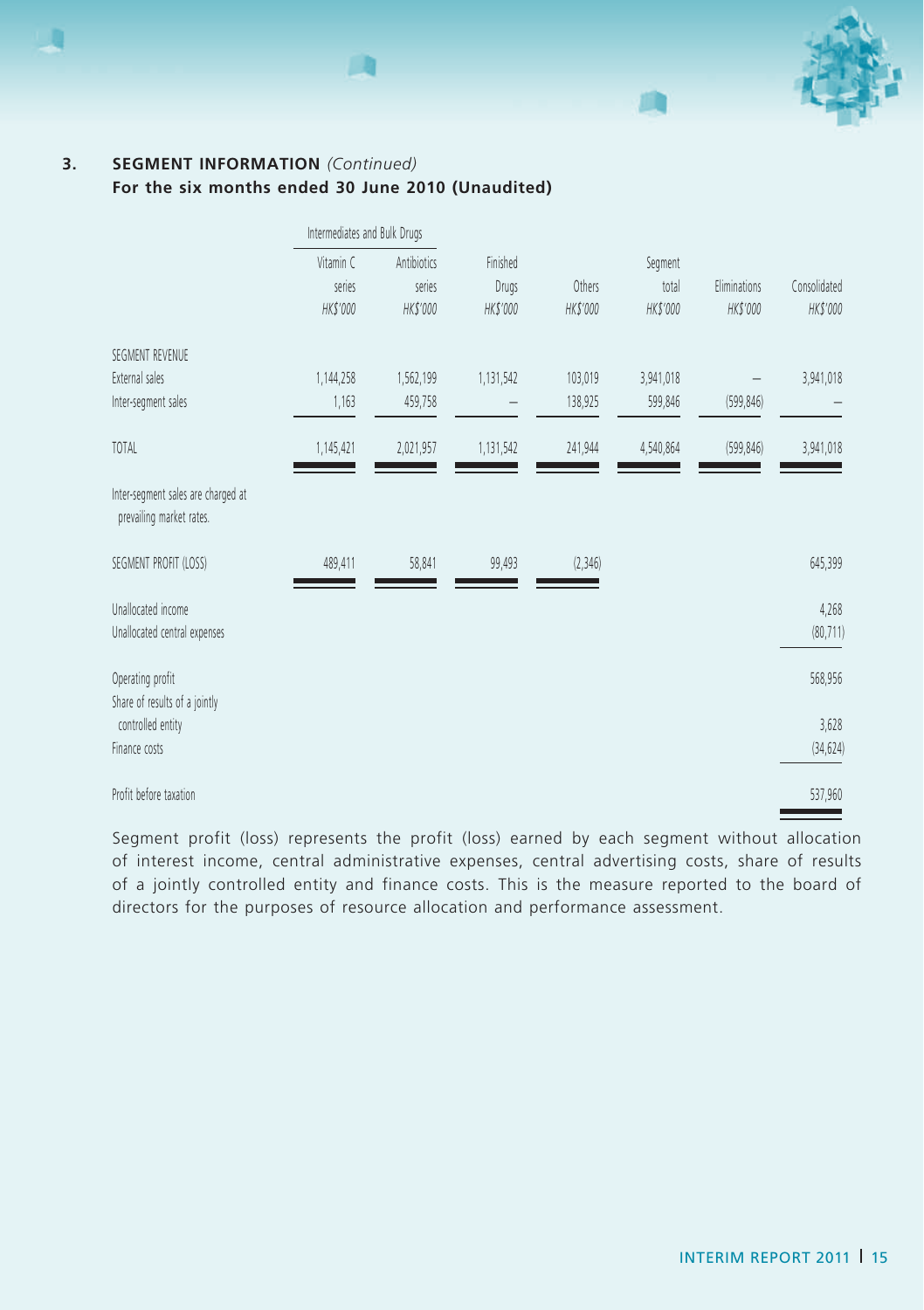# **3. SEGMENT INFORMATION** *(Continued)* **For the six months ended 30 June 2010 (Unaudited)**

|                                                                | Intermediates and Bulk Drugs    |                                   |                               |                    |                              |                          |                          |
|----------------------------------------------------------------|---------------------------------|-----------------------------------|-------------------------------|--------------------|------------------------------|--------------------------|--------------------------|
|                                                                | Vitamin C<br>series<br>HK\$'000 | Antibiotics<br>series<br>HK\$'000 | Finished<br>Drugs<br>HK\$'000 | Others<br>HK\$'000 | Segment<br>total<br>HK\$'000 | Eliminations<br>HK\$'000 | Consolidated<br>HK\$'000 |
| SEGMENT REVENUE                                                |                                 |                                   |                               |                    |                              |                          |                          |
| External sales                                                 | 1,144,258                       | 1,562,199                         | 1,131,542                     | 103,019            | 3,941,018                    |                          | 3,941,018                |
| Inter-segment sales                                            | 1,163                           | 459,758                           |                               | 138,925            | 599,846                      | (599, 846)               |                          |
| <b>TOTAL</b>                                                   | 1,145,421                       | 2,021,957                         | 1,131,542                     | 241,944            | 4,540,864                    | (599, 846)               | 3,941,018                |
| Inter-segment sales are charged at<br>prevailing market rates. |                                 |                                   |                               |                    |                              |                          |                          |
| SEGMENT PROFIT (LOSS)                                          | 489,411                         | 58,841                            | 99,493                        | (2,346)            |                              |                          | 645,399                  |
| Unallocated income                                             |                                 |                                   |                               |                    |                              |                          | 4,268                    |
| Unallocated central expenses                                   |                                 |                                   |                               |                    |                              |                          | (80, 711)                |
|                                                                |                                 |                                   |                               |                    |                              |                          |                          |
| Operating profit                                               |                                 |                                   |                               |                    |                              |                          | 568,956                  |
| Share of results of a jointly                                  |                                 |                                   |                               |                    |                              |                          |                          |
| controlled entity                                              |                                 |                                   |                               |                    |                              |                          | 3,628                    |
| Finance costs                                                  |                                 |                                   |                               |                    |                              |                          | (34, 624)                |
| Profit before taxation                                         |                                 |                                   |                               |                    |                              |                          | 537,960                  |

捕鱼

Segment profit (loss) represents the profit (loss) earned by each segment without allocation of interest income, central administrative expenses, central advertising costs, share of results of a jointly controlled entity and finance costs. This is the measure reported to the board of directors for the purposes of resource allocation and performance assessment.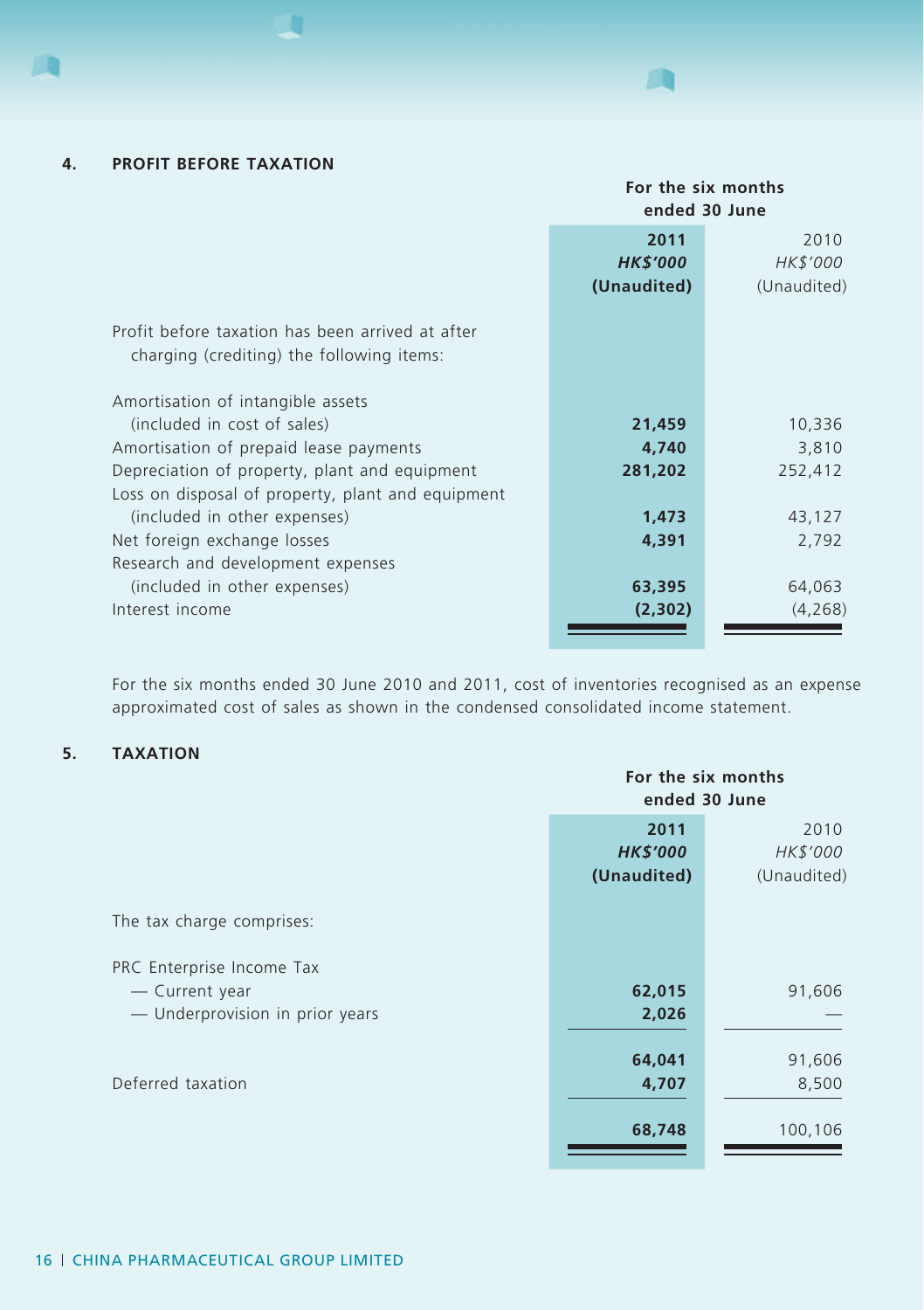

|                                                   | For the six months<br>ended 30 June |             |  |
|---------------------------------------------------|-------------------------------------|-------------|--|
|                                                   | 2011                                | 2010        |  |
|                                                   | <b>HK\$'000</b>                     | HK\$'000    |  |
|                                                   | (Unaudited)                         | (Unaudited) |  |
| Profit before taxation has been arrived at after  |                                     |             |  |
| charging (crediting) the following items:         |                                     |             |  |
| Amortisation of intangible assets                 |                                     |             |  |
| (included in cost of sales)                       | 21,459                              | 10,336      |  |
| Amortisation of prepaid lease payments            | 4,740                               | 3,810       |  |
| Depreciation of property, plant and equipment     | 281,202                             | 252,412     |  |
| Loss on disposal of property, plant and equipment |                                     |             |  |
| (included in other expenses)                      | 1,473                               | 43,127      |  |
| Net foreign exchange losses                       | 4,391                               | 2,792       |  |
| Research and development expenses                 |                                     |             |  |
| (included in other expenses)                      | 63,395                              | 64,063      |  |
| Interest income                                   | (2,302)                             | (4, 268)    |  |
|                                                   |                                     |             |  |

For the six months ended 30 June 2010 and 2011, cost of inventories recognised as an expense approximated cost of sales as shown in the condensed consolidated income statement.

# **5. Taxation**

|                                 | For the six months<br>ended 30 June    |                                 |  |
|---------------------------------|----------------------------------------|---------------------------------|--|
|                                 | 2011<br><b>HK\$'000</b><br>(Unaudited) | 2010<br>HK\$'000<br>(Unaudited) |  |
| The tax charge comprises:       |                                        |                                 |  |
| PRC Enterprise Income Tax       |                                        |                                 |  |
| - Current year                  | 62,015                                 | 91,606                          |  |
| - Underprovision in prior years | 2,026                                  |                                 |  |
|                                 | 64,041                                 | 91,606                          |  |
| Deferred taxation               | 4,707                                  | 8,500                           |  |
|                                 | 68,748                                 | 100,106                         |  |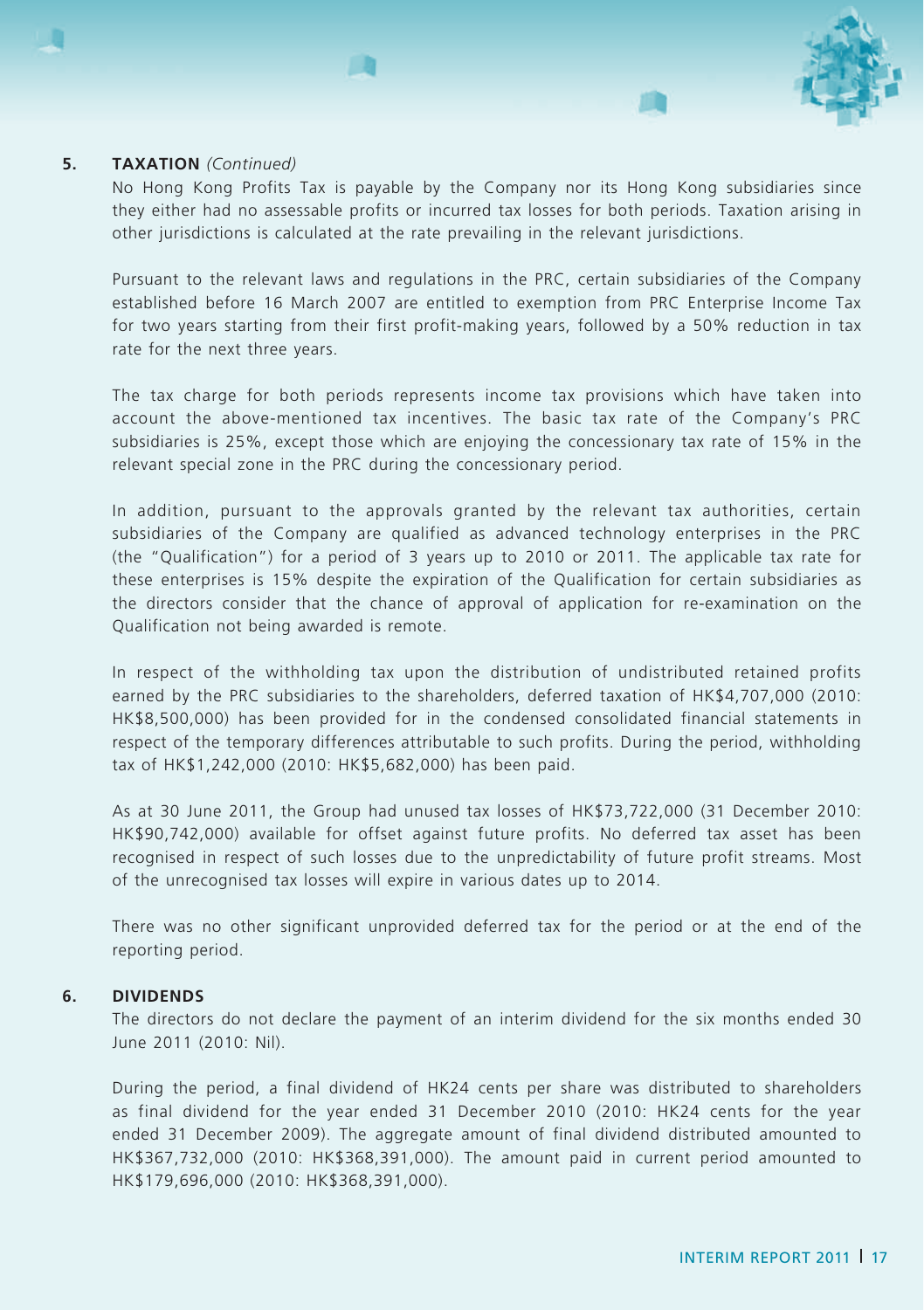#### **5. Taxation** *(Continued)*

No Hong Kong Profits Tax is payable by the Company nor its Hong Kong subsidiaries since they either had no assessable profits or incurred tax losses for both periods. Taxation arising in other jurisdictions is calculated at the rate prevailing in the relevant jurisdictions.

Pursuant to the relevant laws and regulations in the PRC, certain subsidiaries of the Company established before 16 March 2007 are entitled to exemption from PRC Enterprise Income Tax for two years starting from their first profit-making years, followed by a 50% reduction in tax rate for the next three years.

The tax charge for both periods represents income tax provisions which have taken into account the above-mentioned tax incentives. The basic tax rate of the Company's PRC subsidiaries is 25%, except those which are enjoying the concessionary tax rate of 15% in the relevant special zone in the PRC during the concessionary period.

In addition, pursuant to the approvals granted by the relevant tax authorities, certain subsidiaries of the Company are qualified as advanced technology enterprises in the PRC (the "Qualification") for a period of 3 years up to 2010 or 2011. The applicable tax rate for these enterprises is 15% despite the expiration of the Qualification for certain subsidiaries as the directors consider that the chance of approval of application for re-examination on the Qualification not being awarded is remote.

In respect of the withholding tax upon the distribution of undistributed retained profits earned by the PRC subsidiaries to the shareholders, deferred taxation of HK\$4,707,000 (2010: HK\$8,500,000) has been provided for in the condensed consolidated financial statements in respect of the temporary differences attributable to such profits. During the period, withholding tax of HK\$1,242,000 (2010: HK\$5,682,000) has been paid.

As at 30 June 2011, the Group had unused tax losses of HK\$73,722,000 (31 December 2010: HK\$90,742,000) available for offset against future profits. No deferred tax asset has been recognised in respect of such losses due to the unpredictability of future profit streams. Most of the unrecognised tax losses will expire in various dates up to 2014.

There was no other significant unprovided deferred tax for the period or at the end of the reporting period.

#### **6. DIVIDENDS**

The directors do not declare the payment of an interim dividend for the six months ended 30 June 2011 (2010: Nil).

During the period, a final dividend of HK24 cents per share was distributed to shareholders as final dividend for the year ended 31 December 2010 (2010: HK24 cents for the year ended 31 December 2009). The aggregate amount of final dividend distributed amounted to HK\$367,732,000 (2010: HK\$368,391,000). The amount paid in current period amounted to HK\$179,696,000 (2010: HK\$368,391,000).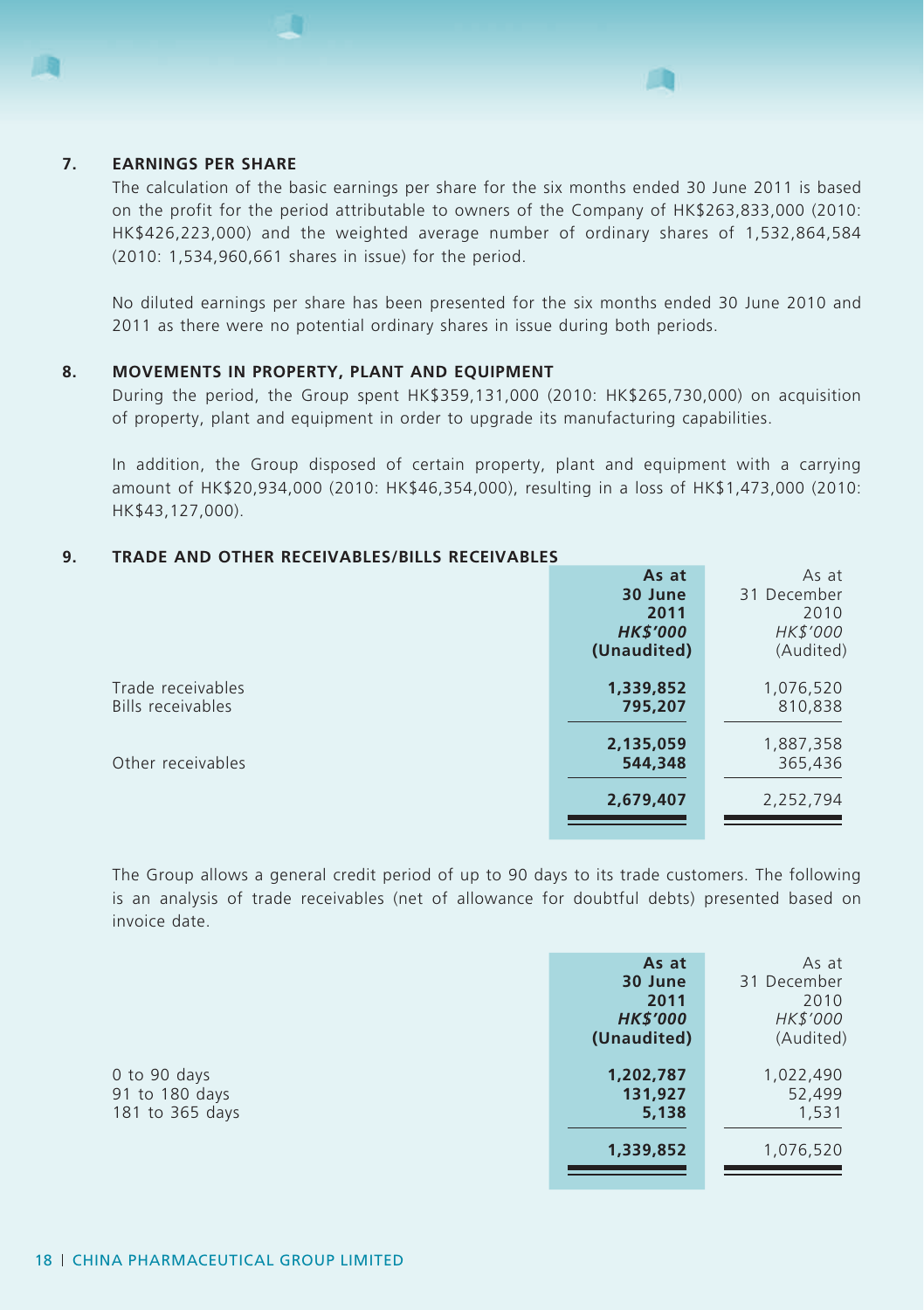

## **7. EARNINGS PER SHARE**

The calculation of the basic earnings per share for the six months ended 30 June 2011 is based on the profit for the period attributable to owners of the Company of HK\$263,833,000 (2010: HK\$426,223,000) and the weighted average number of ordinary shares of 1,532,864,584 (2010: 1,534,960,661 shares in issue) for the period.

No diluted earnings per share has been presented for the six months ended 30 June 2010 and 2011 as there were no potential ordinary shares in issue during both periods.

#### **8. MOVEMENTS IN PROPERTY, PLANT AND EQUIPMENT**

During the period, the Group spent HK\$359,131,000 (2010: HK\$265,730,000) on acquisition of property, plant and equipment in order to upgrade its manufacturing capabilities.

In addition, the Group disposed of certain property, plant and equipment with a carrying amount of HK\$20,934,000 (2010: HK\$46,354,000), resulting in a loss of HK\$1,473,000 (2010: HK\$43,127,000).

#### **9. TRADE AND OTHER RECEIVABLES/BILLS RECEIVABLES**

|                                        | As at                | As at                |
|----------------------------------------|----------------------|----------------------|
|                                        | 30 June              | 31 December          |
|                                        | 2011                 | 2010                 |
|                                        | <b>HK\$'000</b>      | HK\$'000             |
|                                        | (Unaudited)          | (Audited)            |
| Trade receivables<br>Bills receivables | 1,339,852<br>795,207 | 1,076,520<br>810,838 |
| Other receivables                      | 2,135,059<br>544,348 | 1,887,358<br>365,436 |
|                                        | 2,679,407            | 2,252,794            |
|                                        |                      |                      |

The Group allows a general credit period of up to 90 days to its trade customers. The following is an analysis of trade receivables (net of allowance for doubtful debts) presented based on invoice date.

|                                                   | As at<br>30 June<br>2011<br><b>HK\$'000</b><br>(Unaudited) | As at<br>31 December<br>2010<br>HK\$'000<br>(Audited) |
|---------------------------------------------------|------------------------------------------------------------|-------------------------------------------------------|
| 0 to 90 days<br>91 to 180 days<br>181 to 365 days | 1,202,787<br>131,927<br>5,138                              | 1,022,490<br>52,499<br>1,531                          |
|                                                   | 1,339,852                                                  | 1,076,520                                             |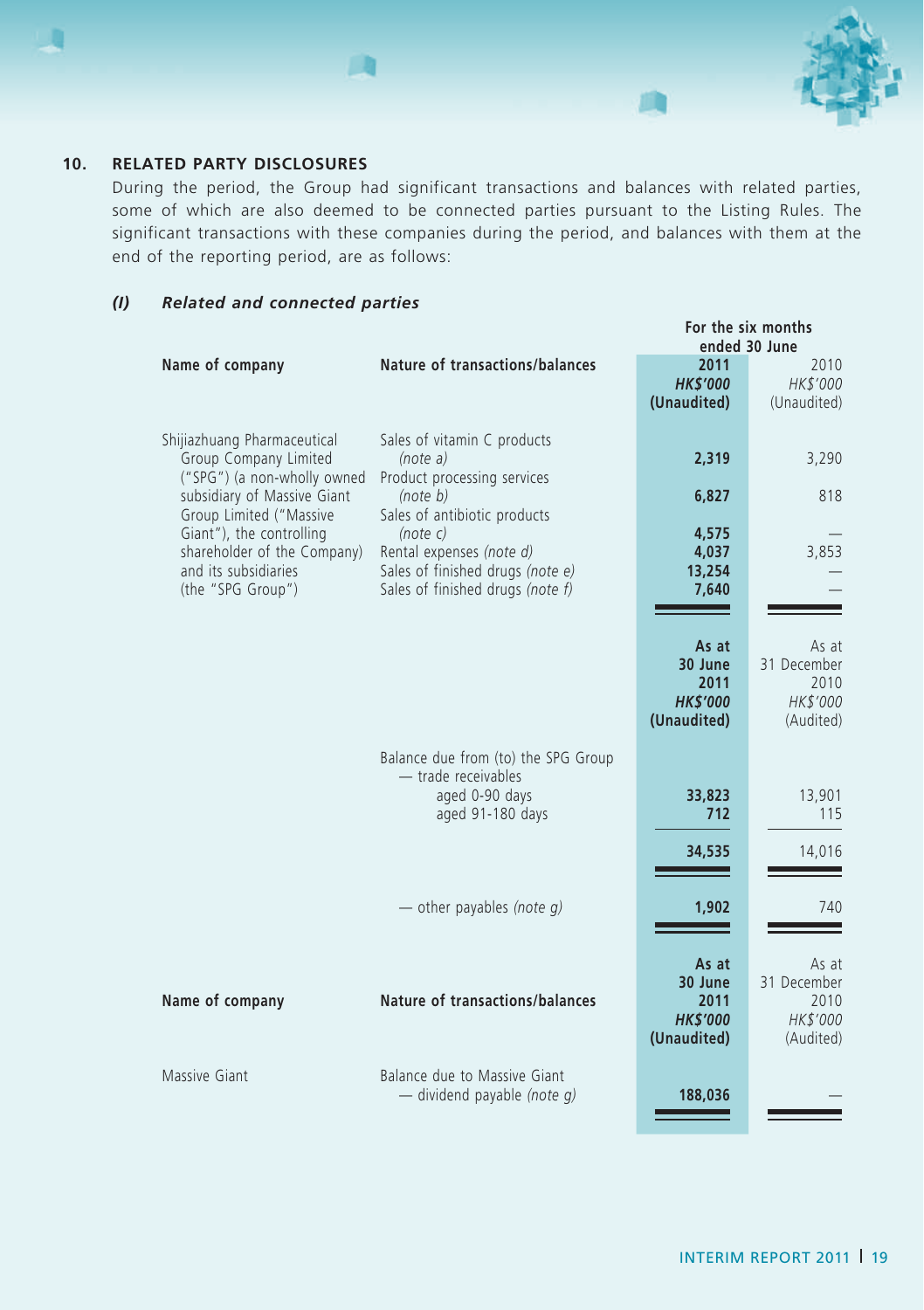

During the period, the Group had significant transactions and balances with related parties, some of which are also deemed to be connected parties pursuant to the Listing Rules. The significant transactions with these companies during the period, and balances with them at the end of the reporting period, are as follows:

m

# *(I) Related and connected parties*

|                                                                                                                                                                                                                                                       |                                                                                                                                                                                                                                    |                                                            | For the six months<br>ended 30 June                   |
|-------------------------------------------------------------------------------------------------------------------------------------------------------------------------------------------------------------------------------------------------------|------------------------------------------------------------------------------------------------------------------------------------------------------------------------------------------------------------------------------------|------------------------------------------------------------|-------------------------------------------------------|
| Name of company                                                                                                                                                                                                                                       | Nature of transactions/balances                                                                                                                                                                                                    | 2011<br><b>HK\$'000</b><br>(Unaudited)                     | 2010<br>HK\$'000<br>(Unaudited)                       |
| Shijiazhuang Pharmaceutical<br>Group Company Limited<br>("SPG") (a non-wholly owned<br>subsidiary of Massive Giant<br>Group Limited ("Massive<br>Giant"), the controlling<br>shareholder of the Company)<br>and its subsidiaries<br>(the "SPG Group") | Sales of vitamin C products<br>(note a)<br>Product processing services<br>(note b)<br>Sales of antibiotic products<br>(note c)<br>Rental expenses (note d)<br>Sales of finished drugs (note e)<br>Sales of finished drugs (note f) | 2,319<br>6,827<br>4,575<br>4,037<br>13,254<br>7,640        | 3,290<br>818<br>3,853                                 |
|                                                                                                                                                                                                                                                       |                                                                                                                                                                                                                                    | As at<br>30 June<br>2011<br><b>HK\$'000</b><br>(Unaudited) | As at<br>31 December<br>2010<br>HK\$'000<br>(Audited) |
|                                                                                                                                                                                                                                                       | Balance due from (to) the SPG Group<br>- trade receivables<br>aged 0-90 days<br>aged 91-180 days                                                                                                                                   | 33,823<br>712<br>34,535                                    | 13,901<br>115<br>14,016                               |
|                                                                                                                                                                                                                                                       | — other payables (note $q$ )                                                                                                                                                                                                       | 1,902                                                      | 740                                                   |
| Name of company                                                                                                                                                                                                                                       | Nature of transactions/balances                                                                                                                                                                                                    | As at<br>30 June<br>2011<br><b>HK\$'000</b><br>(Unaudited) | As at<br>31 December<br>2010<br>HK\$'000<br>(Audited) |
| Massive Giant                                                                                                                                                                                                                                         | Balance due to Massive Giant<br>- dividend payable (note g)                                                                                                                                                                        | 188,036                                                    |                                                       |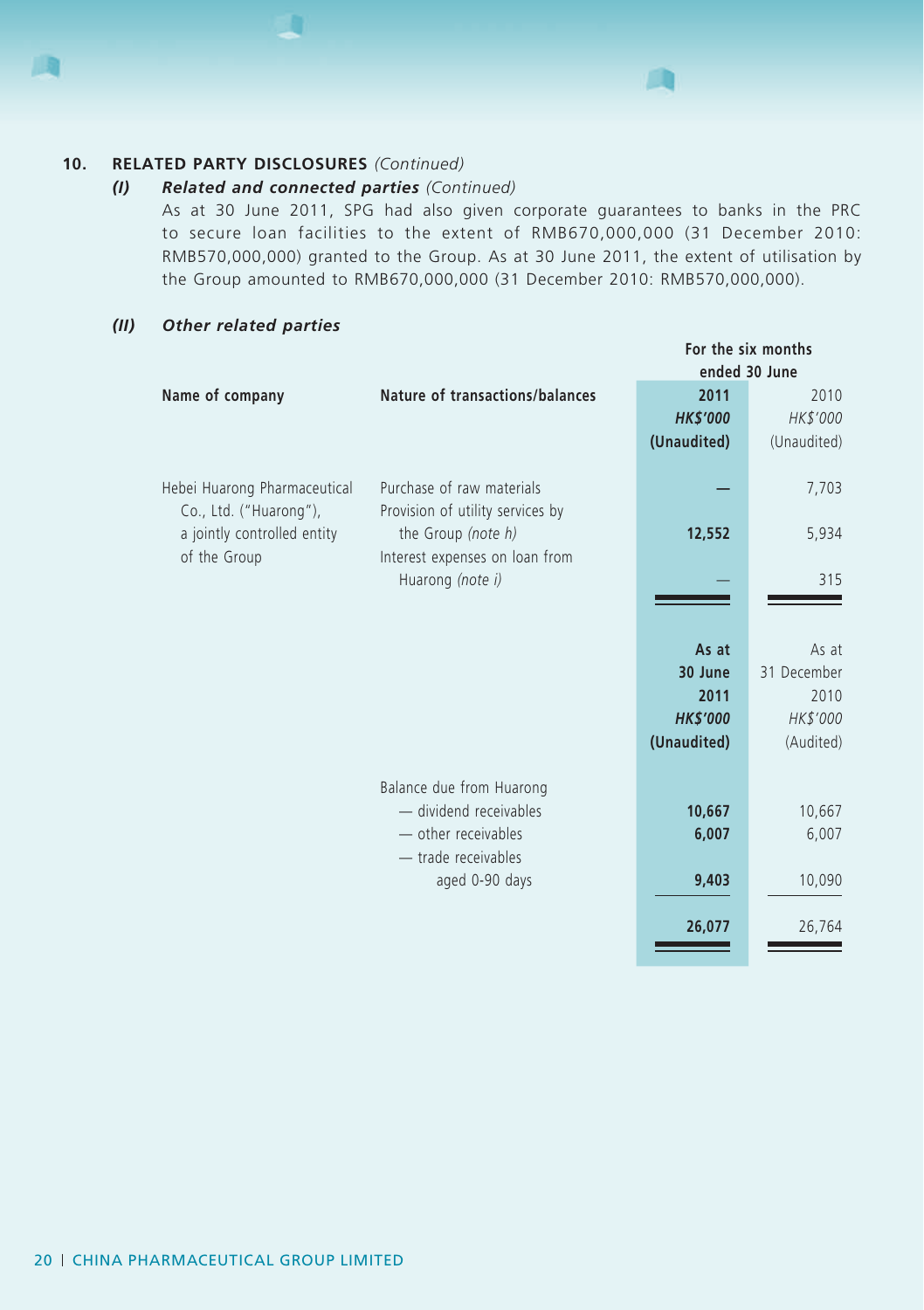## **10. RELATED PARTY disclosures** *(Continued)*

### *(I) Related and connected parties (Continued)*

As at 30 June 2011, SPG had also given corporate guarantees to banks in the PRC to secure loan facilities to the extent of RMB670,000,000 (31 December 2010: RMB570,000,000) granted to the Group. As at 30 June 2011, the extent of utilisation by the Group amounted to RMB670,000,000 (31 December 2010: RMB570,000,000).

### *(II) Other related parties*

|                                                        |                                                               |                 | For the six months |
|--------------------------------------------------------|---------------------------------------------------------------|-----------------|--------------------|
|                                                        |                                                               | ended 30 June   |                    |
| Name of company                                        | Nature of transactions/balances                               | 2011            | 2010               |
|                                                        |                                                               | <b>HK\$'000</b> | HK\$'000           |
|                                                        |                                                               | (Unaudited)     | (Unaudited)        |
| Hebei Huarong Pharmaceutical<br>Co., Ltd. ("Huarong"), | Purchase of raw materials<br>Provision of utility services by |                 | 7,703              |
| a jointly controlled entity<br>of the Group            | the Group (note h)<br>Interest expenses on loan from          | 12,552          | 5,934              |
|                                                        | Huarong (note i)                                              |                 | 315                |
|                                                        |                                                               |                 |                    |
|                                                        |                                                               | As at           | As at              |
|                                                        |                                                               | 30 June         | 31 December        |
|                                                        |                                                               | 2011            | 2010               |
|                                                        |                                                               | <b>HK\$'000</b> | HK\$'000           |
|                                                        |                                                               | (Unaudited)     | (Audited)          |
|                                                        | Balance due from Huarong                                      |                 |                    |
|                                                        | - dividend receivables                                        | 10,667          | 10,667             |
|                                                        | - other receivables                                           | 6,007           | 6,007              |
|                                                        | - trade receivables                                           |                 |                    |
|                                                        | aged 0-90 days                                                | 9,403           | 10,090             |
|                                                        |                                                               | 26,077          | 26,764             |
|                                                        |                                                               |                 |                    |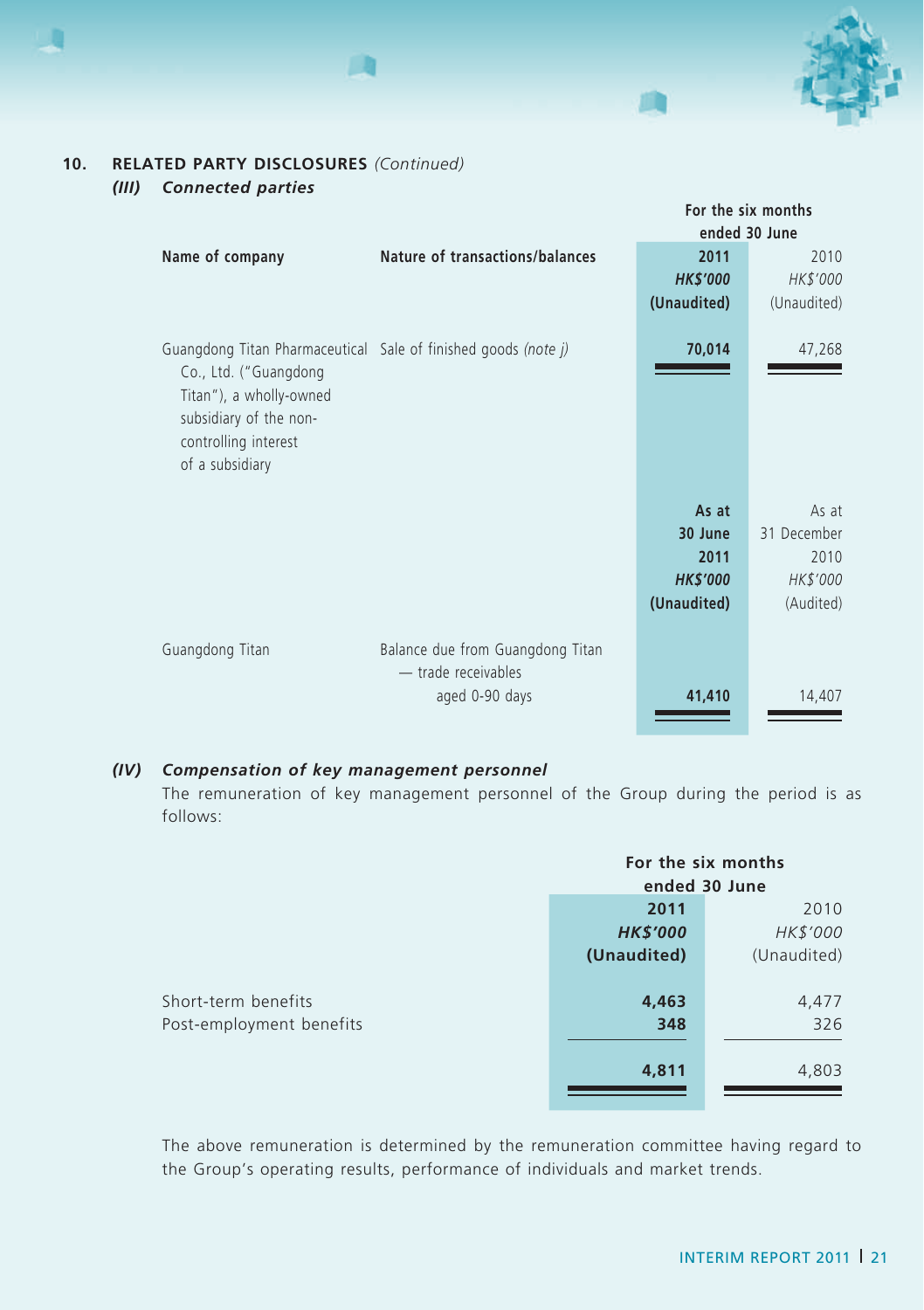# **10. RELATED PARTY disclosures** *(Continued)*

|                                                                                                                                                                                         |                                                                           |                                                            | For the six months<br>ended 30 June                   |
|-----------------------------------------------------------------------------------------------------------------------------------------------------------------------------------------|---------------------------------------------------------------------------|------------------------------------------------------------|-------------------------------------------------------|
| Name of company                                                                                                                                                                         | Nature of transactions/balances                                           | 2011<br><b>HK\$'000</b><br>(Unaudited)                     | 2010<br>HK\$'000<br>(Unaudited)                       |
| Guangdong Titan Pharmaceutical Sale of finished goods (note j)<br>Co., Ltd. ("Guangdong<br>Titan"), a wholly-owned<br>subsidiary of the non-<br>controlling interest<br>of a subsidiary |                                                                           | 70,014                                                     | 47,268                                                |
|                                                                                                                                                                                         |                                                                           | As at<br>30 June<br>2011<br><b>HK\$'000</b><br>(Unaudited) | As at<br>31 December<br>2010<br>HK\$'000<br>(Audited) |
| Guangdong Titan                                                                                                                                                                         | Balance due from Guangdong Titan<br>- trade receivables<br>aged 0-90 days | 41,410                                                     | 14,407                                                |

捕鱼

# *(III) Connected parties*

### *(IV) Compensation of key management personnel*

The remuneration of key management personnel of the Group during the period is as follows:

|                          | For the six months<br>ended 30 June |             |
|--------------------------|-------------------------------------|-------------|
|                          | 2011                                | 2010        |
|                          | <b>HK\$'000</b>                     | HK\$'000    |
|                          | (Unaudited)                         | (Unaudited) |
| Short-term benefits      | 4,463                               | 4,477       |
| Post-employment benefits | 348                                 | 326         |
|                          | 4,811                               | 4,803       |

The above remuneration is determined by the remuneration committee having regard to the Group's operating results, performance of individuals and market trends.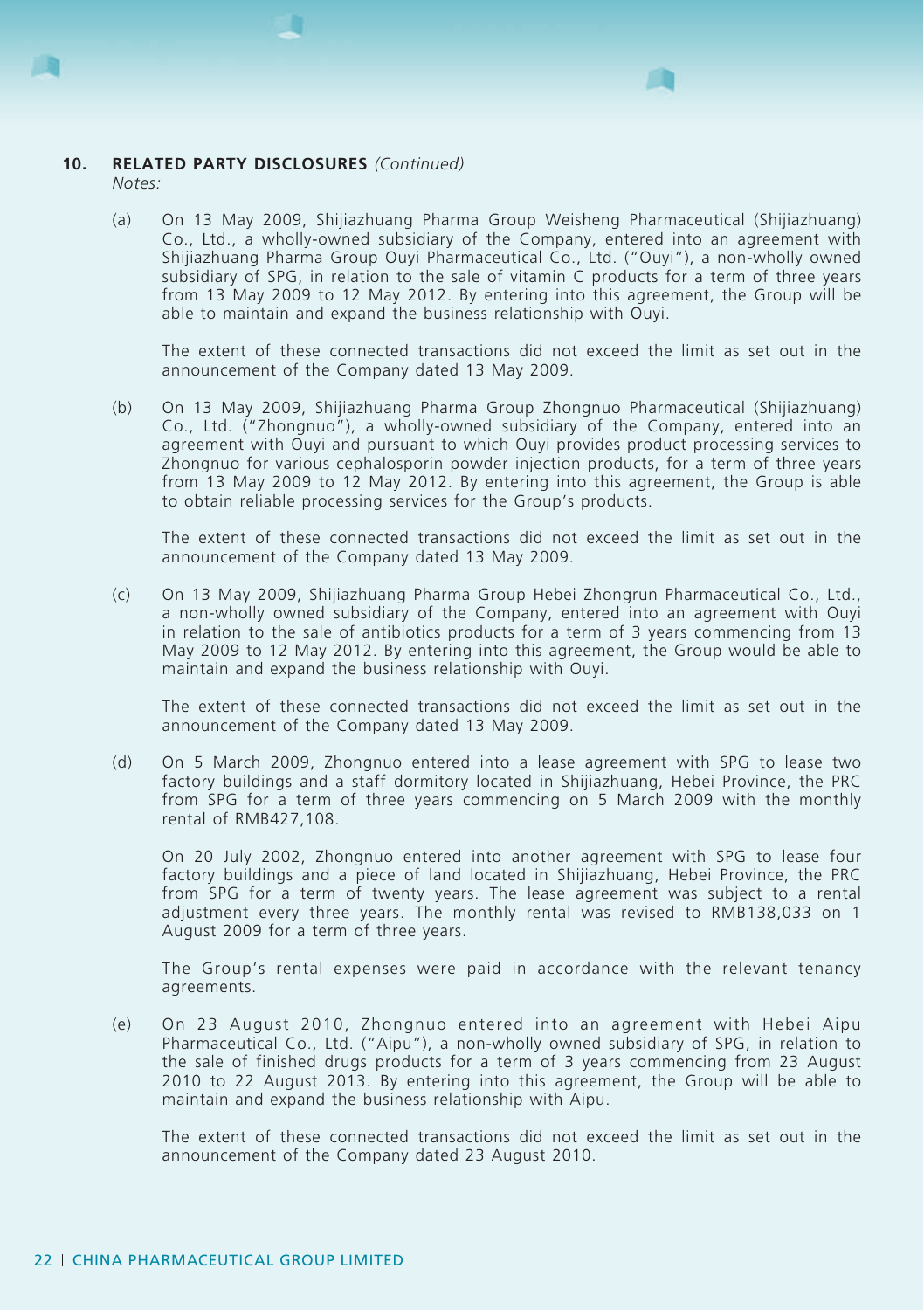#### **10. RELATED PARTY disclosures** *(Continued) Notes:*

(a) On 13 May 2009, Shijiazhuang Pharma Group Weisheng Pharmaceutical (Shijiazhuang) Co., Ltd., a wholly-owned subsidiary of the Company, entered into an agreement with Shijiazhuang Pharma Group Ouyi Pharmaceutical Co., Ltd. ("Ouyi"), a non-wholly owned subsidiary of SPG, in relation to the sale of vitamin C products for a term of three years from 13 May 2009 to 12 May 2012. By entering into this agreement, the Group will be able to maintain and expand the business relationship with Ouyi.

 The extent of these connected transactions did not exceed the limit as set out in the announcement of the Company dated 13 May 2009.

(b) On 13 May 2009, Shijiazhuang Pharma Group Zhongnuo Pharmaceutical (Shijiazhuang) Co., Ltd. ("Zhongnuo"), a wholly-owned subsidiary of the Company, entered into an agreement with Ouyi and pursuant to which Ouyi provides product processing services to Zhongnuo for various cephalosporin powder injection products, for a term of three years from 13 May 2009 to 12 May 2012. By entering into this agreement, the Group is able to obtain reliable processing services for the Group's products.

 The extent of these connected transactions did not exceed the limit as set out in the announcement of the Company dated 13 May 2009.

(c) On 13 May 2009, Shijiazhuang Pharma Group Hebei Zhongrun Pharmaceutical Co., Ltd., a non-wholly owned subsidiary of the Company, entered into an agreement with Ouyi in relation to the sale of antibiotics products for a term of 3 years commencing from 13 May 2009 to 12 May 2012. By entering into this agreement, the Group would be able to maintain and expand the business relationship with Ouyi.

 The extent of these connected transactions did not exceed the limit as set out in the announcement of the Company dated 13 May 2009.

(d) On 5 March 2009, Zhongnuo entered into a lease agreement with SPG to lease two factory buildings and a staff dormitory located in Shijiazhuang, Hebei Province, the PRC from SPG for a term of three years commencing on 5 March 2009 with the monthly rental of RMB427,108.

 On 20 July 2002, Zhongnuo entered into another agreement with SPG to lease four factory buildings and a piece of land located in Shijiazhuang, Hebei Province, the PRC from SPG for a term of twenty years. The lease agreement was subject to a rental adjustment every three years. The monthly rental was revised to RMB138,033 on 1 August 2009 for a term of three years.

 The Group's rental expenses were paid in accordance with the relevant tenancy agreements.

(e) On 23 August 2010, Zhongnuo entered into an agreement with Hebei Aipu Pharmaceutical Co., Ltd. ("Aipu"), a non-wholly owned subsidiary of SPG, in relation to the sale of finished drugs products for a term of 3 years commencing from 23 August 2010 to 22 August 2013. By entering into this agreement, the Group will be able to maintain and expand the business relationship with Aipu.

 The extent of these connected transactions did not exceed the limit as set out in the announcement of the Company dated 23 August 2010.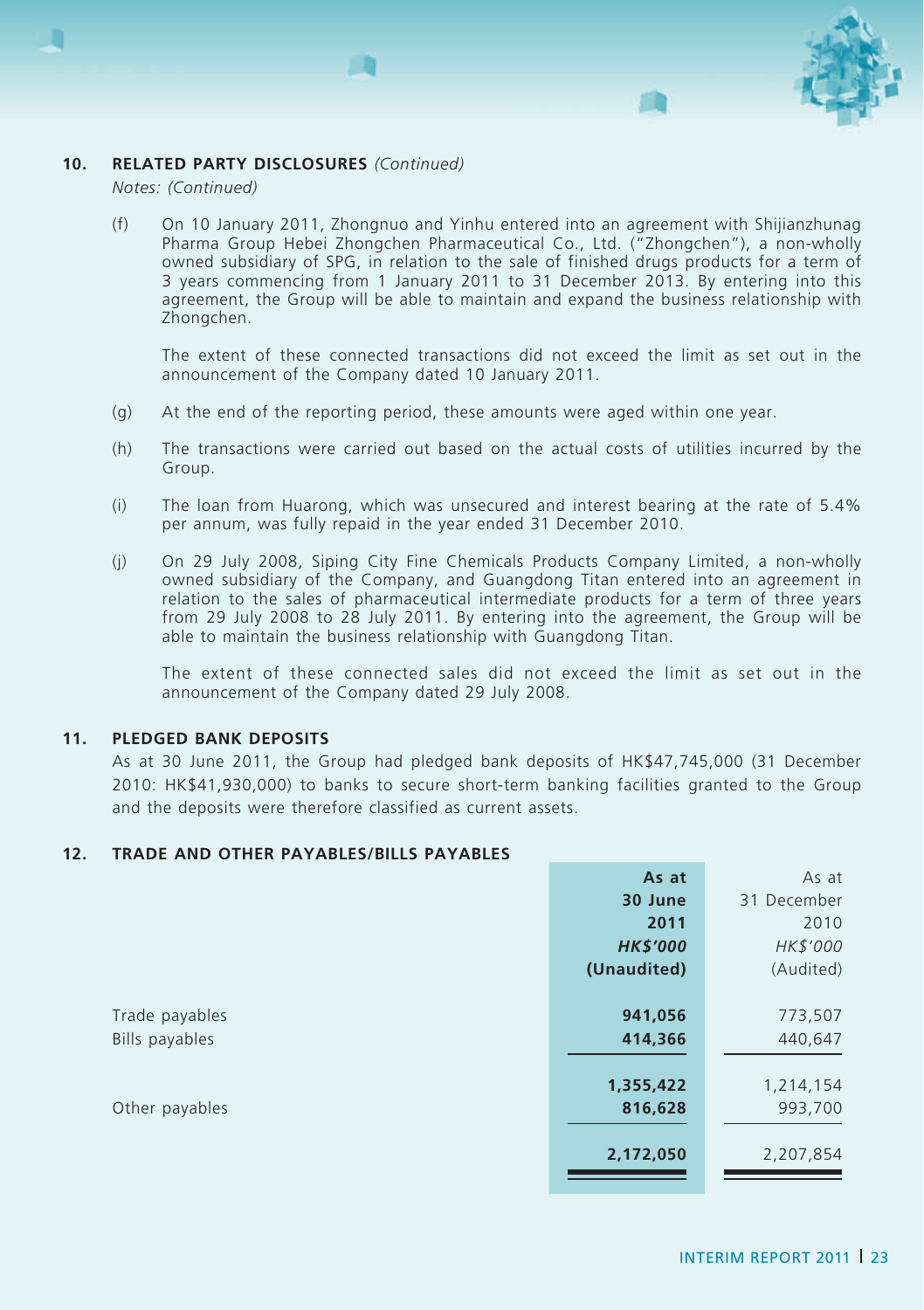#### **10. RELATED PARTY disclosures** *(Continued)*

*Notes: (Continued)*

(f) On 10 January 2011, Zhongnuo and Yinhu entered into an agreement with Shijianzhunag Pharma Group Hebei Zhongchen Pharmaceutical Co., Ltd. ("Zhongchen"), a non-wholly owned subsidiary of SPG, in relation to the sale of finished drugs products for a term of 3 years commencing from 1 January 2011 to 31 December 2013. By entering into this agreement, the Group will be able to maintain and expand the business relationship with Zhongchen.

 The extent of these connected transactions did not exceed the limit as set out in the announcement of the Company dated 10 January 2011.

- (g) At the end of the reporting period, these amounts were aged within one year.
- (h) The transactions were carried out based on the actual costs of utilities incurred by the Group.
- (i) The loan from Huarong, which was unsecured and interest bearing at the rate of 5.4% per annum, was fully repaid in the year ended 31 December 2010.
- (j) On 29 July 2008, Siping City Fine Chemicals Products Company Limited, a non-wholly owned subsidiary of the Company, and Guangdong Titan entered into an agreement in relation to the sales of pharmaceutical intermediate products for a term of three years from 29 July 2008 to 28 July 2011. By entering into the agreement, the Group will be able to maintain the business relationship with Guangdong Titan.

 The extent of these connected sales did not exceed the limit as set out in the announcement of the Company dated 29 July 2008.

#### **11. PLEDGED BANK DEPOSITS**

As at 30 June 2011, the Group had pledged bank deposits of HK\$47,745,000 (31 December 2010: HK\$41,930,000) to banks to secure short-term banking facilities granted to the Group and the deposits were therefore classified as current assets.

#### **12. TRADE AND OTHER PAYABLES/BILLS PAYABLES**

|                | 30 June         | 31 December |
|----------------|-----------------|-------------|
|                | 2011            | 2010        |
|                | <b>HK\$'000</b> | HK\$'000    |
|                | (Unaudited)     | (Audited)   |
|                |                 |             |
| Trade payables | 941,056         | 773,507     |
| Bills payables | 414,366         | 440,647     |
|                |                 |             |
|                | 1,355,422       | 1,214,154   |
| Other payables | 816,628         | 993,700     |
|                |                 |             |
|                | 2,172,050       | 2,207,854   |
|                |                 |             |

**As at** As at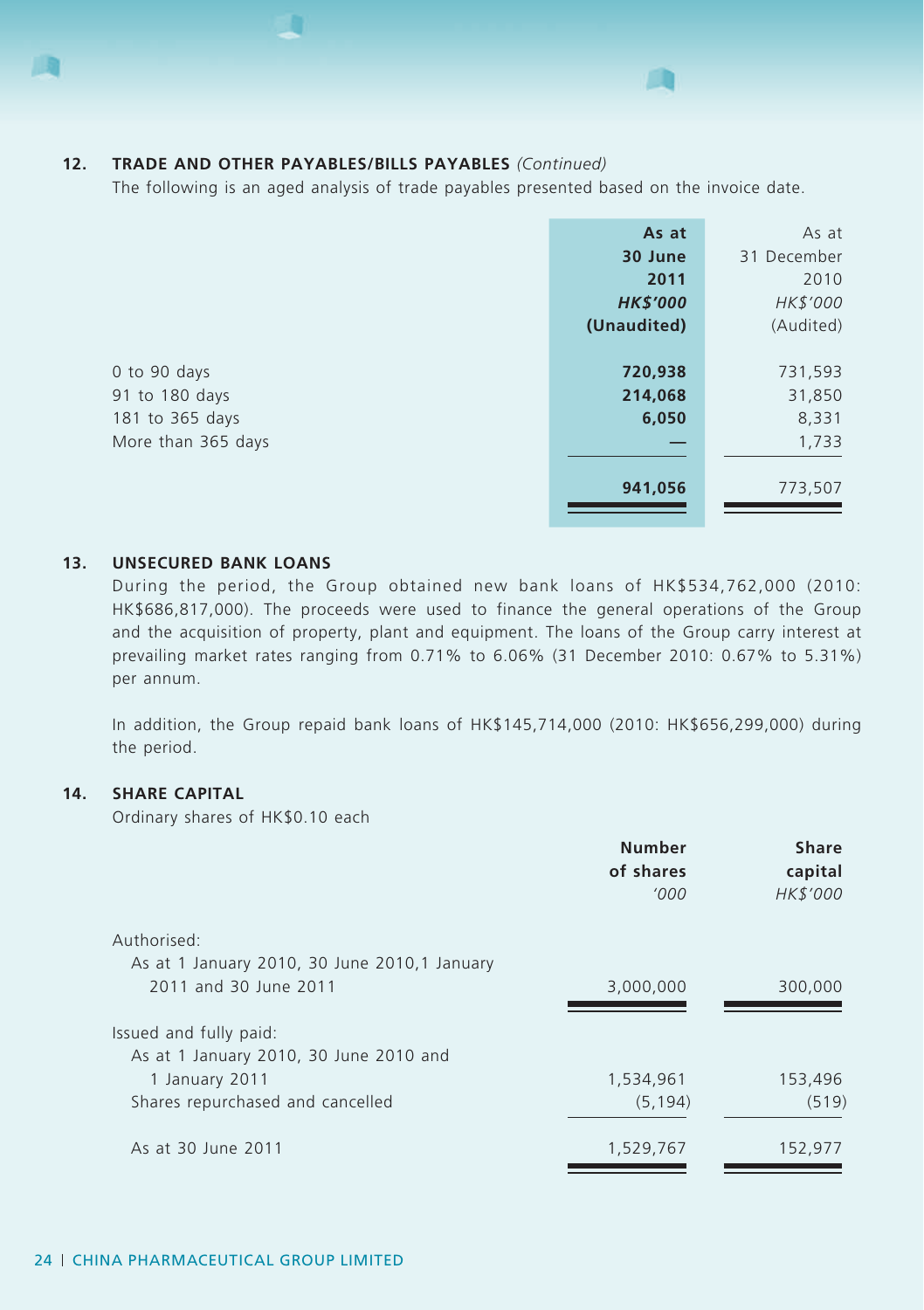

### **12. TRADE AND OTHER PAYABLES/BILLS PAYABLES** *(Continued)*

The following is an aged analysis of trade payables presented based on the invoice date.

|                    | As at           | As at       |
|--------------------|-----------------|-------------|
|                    | 30 June         | 31 December |
|                    | 2011            | 2010        |
|                    | <b>HK\$'000</b> | HK\$'000    |
|                    | (Unaudited)     | (Audited)   |
|                    |                 |             |
| 0 to 90 days       | 720,938         | 731,593     |
| 91 to 180 days     | 214,068         | 31,850      |
| 181 to 365 days    | 6,050           | 8,331       |
| More than 365 days | –               | 1,733       |
|                    |                 |             |
|                    | 941,056         | 773,507     |
|                    |                 |             |

#### **13. UNSECURED BANK LOANS**

During the period, the Group obtained new bank loans of HK\$534,762,000 (2010: HK\$686,817,000). The proceeds were used to finance the general operations of the Group and the acquisition of property, plant and equipment. The loans of the Group carry interest at prevailing market rates ranging from 0.71% to 6.06% (31 December 2010: 0.67% to 5.31%) per annum.

In addition, the Group repaid bank loans of HK\$145,714,000 (2010: HK\$656,299,000) during the period.

#### **14. SHARE CAPITAL**

Ordinary shares of HK\$0.10 each

|                                              | <b>Number</b><br>of shares | <b>Share</b><br>capital |
|----------------------------------------------|----------------------------|-------------------------|
|                                              | '000                       | HK\$'000                |
| Authorised:                                  |                            |                         |
| As at 1 January 2010, 30 June 2010,1 January |                            |                         |
| 2011 and 30 June 2011                        | 3,000,000                  | 300,000                 |
| Issued and fully paid:                       |                            |                         |
| As at 1 January 2010, 30 June 2010 and       |                            |                         |
| 1 January 2011                               | 1,534,961                  | 153,496                 |
| Shares repurchased and cancelled             | (5, 194)                   | (519)                   |
| As at 30 June 2011                           | 1,529,767                  | 152,977                 |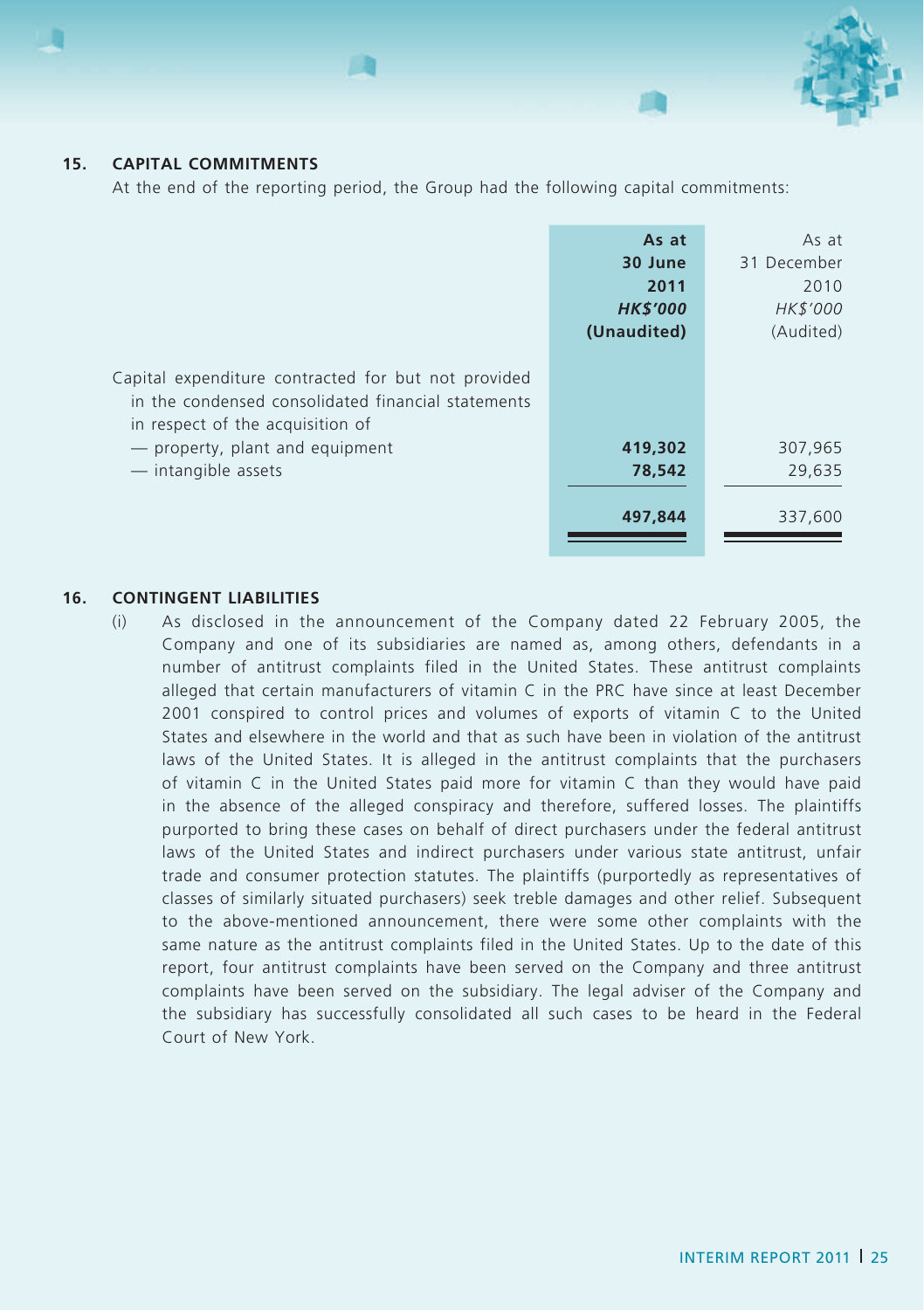

# **15. CAPITAL COMMITMENTS**

At the end of the reporting period, the Group had the following capital commitments:

|                                                                                                                                               | As at<br>30 June<br>2011<br><b>HK\$'000</b><br>(Unaudited) | As at<br>31 December<br>2010<br>HK\$'000<br>(Audited) |
|-----------------------------------------------------------------------------------------------------------------------------------------------|------------------------------------------------------------|-------------------------------------------------------|
| Capital expenditure contracted for but not provided<br>in the condensed consolidated financial statements<br>in respect of the acquisition of |                                                            |                                                       |
| - property, plant and equipment                                                                                                               | 419,302                                                    | 307,965                                               |
| - intangible assets                                                                                                                           | 78,542                                                     | 29,635                                                |
|                                                                                                                                               | 497,844                                                    | 337,600                                               |

#### **16. CONTINGENT LIABILITIES**

(i) As disclosed in the announcement of the Company dated 22 February 2005, the Company and one of its subsidiaries are named as, among others, defendants in a number of antitrust complaints filed in the United States. These antitrust complaints alleged that certain manufacturers of vitamin C in the PRC have since at least December 2001 conspired to control prices and volumes of exports of vitamin C to the United States and elsewhere in the world and that as such have been in violation of the antitrust laws of the United States. It is alleged in the antitrust complaints that the purchasers of vitamin C in the United States paid more for vitamin C than they would have paid in the absence of the alleged conspiracy and therefore, suffered losses. The plaintiffs purported to bring these cases on behalf of direct purchasers under the federal antitrust laws of the United States and indirect purchasers under various state antitrust, unfair trade and consumer protection statutes. The plaintiffs (purportedly as representatives of classes of similarly situated purchasers) seek treble damages and other relief. Subsequent to the above-mentioned announcement, there were some other complaints with the same nature as the antitrust complaints filed in the United States. Up to the date of this report, four antitrust complaints have been served on the Company and three antitrust complaints have been served on the subsidiary. The legal adviser of the Company and the subsidiary has successfully consolidated all such cases to be heard in the Federal Court of New York.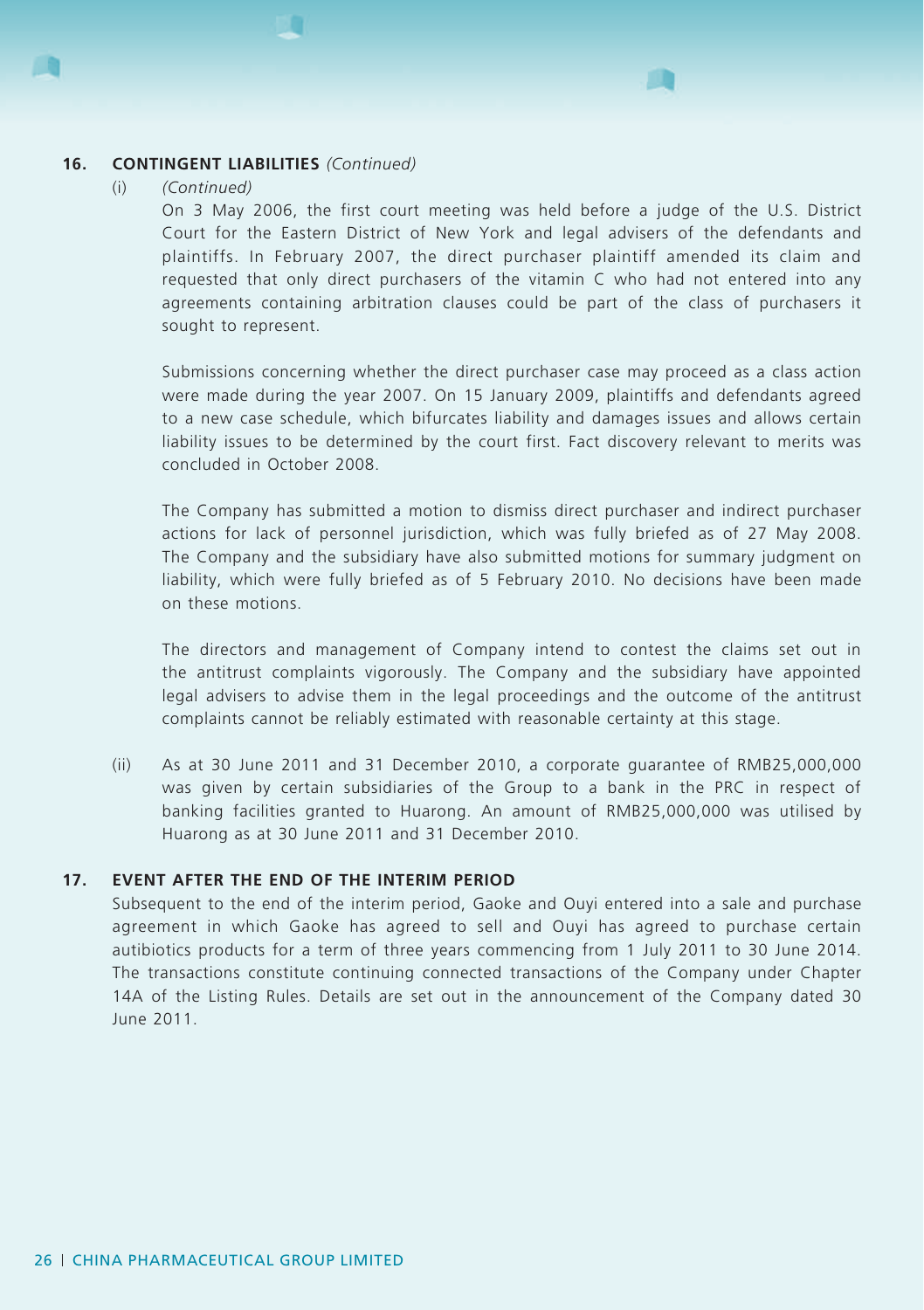#### **16. CONTINGENT LIABILITIES** *(Continued)*

#### (i) *(Continued)*

On 3 May 2006, the first court meeting was held before a judge of the U.S. District Court for the Eastern District of New York and legal advisers of the defendants and plaintiffs. In February 2007, the direct purchaser plaintiff amended its claim and requested that only direct purchasers of the vitamin C who had not entered into any agreements containing arbitration clauses could be part of the class of purchasers it sought to represent.

Submissions concerning whether the direct purchaser case may proceed as a class action were made during the year 2007. On 15 January 2009, plaintiffs and defendants agreed to a new case schedule, which bifurcates liability and damages issues and allows certain liability issues to be determined by the court first. Fact discovery relevant to merits was concluded in October 2008.

The Company has submitted a motion to dismiss direct purchaser and indirect purchaser actions for lack of personnel jurisdiction, which was fully briefed as of 27 May 2008. The Company and the subsidiary have also submitted motions for summary judgment on liability, which were fully briefed as of 5 February 2010. No decisions have been made on these motions.

The directors and management of Company intend to contest the claims set out in the antitrust complaints vigorously. The Company and the subsidiary have appointed legal advisers to advise them in the legal proceedings and the outcome of the antitrust complaints cannot be reliably estimated with reasonable certainty at this stage.

(ii) As at 30 June 2011 and 31 December 2010, a corporate guarantee of RMB25,000,000 was given by certain subsidiaries of the Group to a bank in the PRC in respect of banking facilities granted to Huarong. An amount of RMB25,000,000 was utilised by Huarong as at 30 June 2011 and 31 December 2010.

#### **17. EVENT AFTER THE END OF THE INTERIM PERIOD**

Subsequent to the end of the interim period, Gaoke and Ouyi entered into a sale and purchase agreement in which Gaoke has agreed to sell and Ouyi has agreed to purchase certain autibiotics products for a term of three years commencing from 1 July 2011 to 30 June 2014. The transactions constitute continuing connected transactions of the Company under Chapter 14A of the Listing Rules. Details are set out in the announcement of the Company dated 30 June 2011.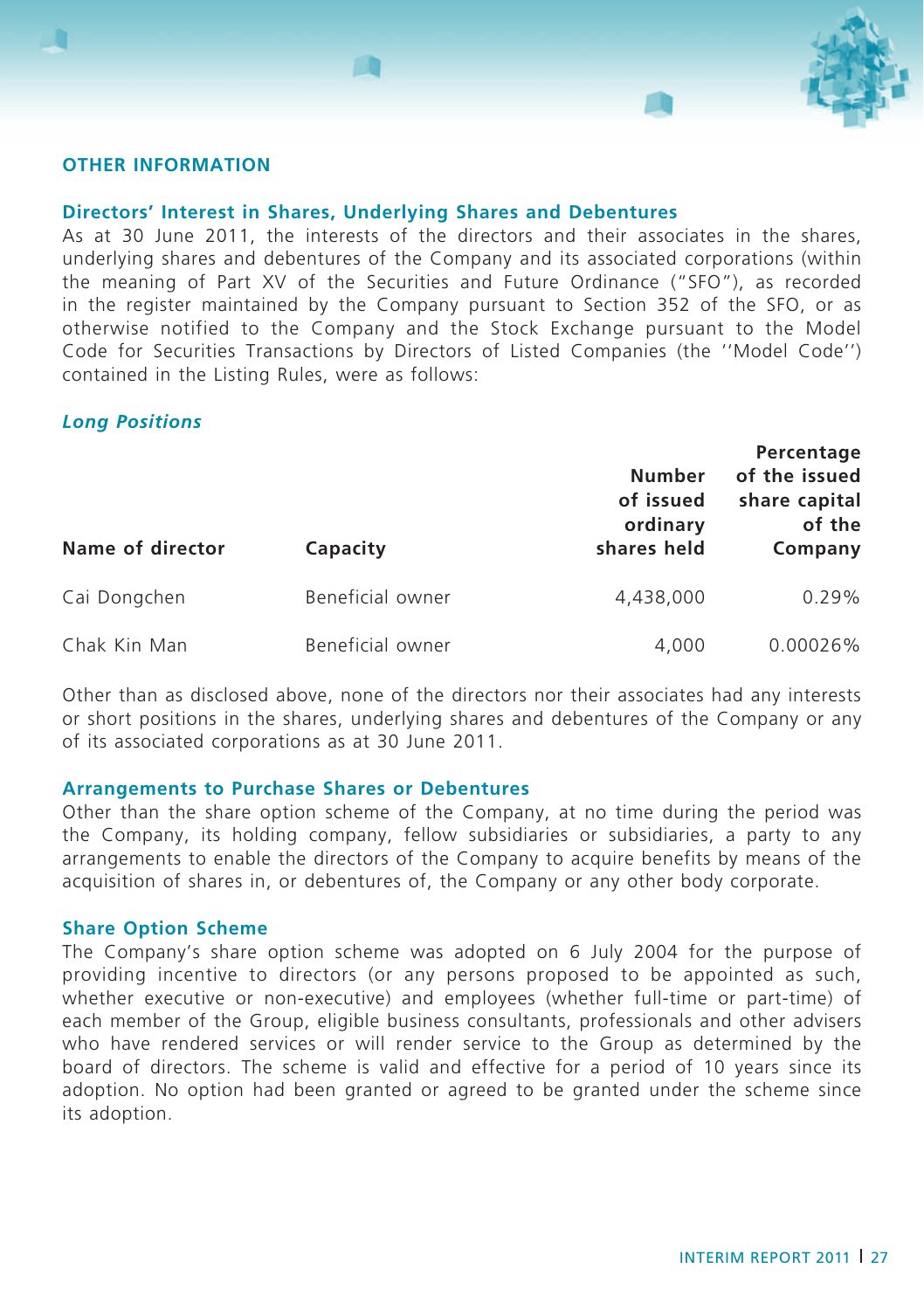

# **Other Information**

# **Directors' Interest in Shares, Underlying Shares and Debentures**

As at 30 June 2011, the interests of the directors and their associates in the shares, underlying shares and debentures of the Company and its associated corporations (within the meaning of Part XV of the Securities and Future Ordinance ("SFO"), as recorded in the register maintained by the Company pursuant to Section 352 of the SFO, or as otherwise notified to the Company and the Stock Exchange pursuant to the Model Code for Securities Transactions by Directors of Listed Companies (the ''Model Code'') contained in the Listing Rules, were as follows:

# *Long Positions*

| Name of director | Capacity         | <b>Number</b><br>of issued<br>ordinary<br>shares held | Percentage<br>of the issued<br>share capital<br>of the<br>Company |
|------------------|------------------|-------------------------------------------------------|-------------------------------------------------------------------|
| Cai Dongchen     | Beneficial owner | 4.438.000                                             | 0.29%                                                             |
| Chak Kin Man     | Beneficial owner | 4,000                                                 | $0.00026\%$                                                       |

Other than as disclosed above, none of the directors nor their associates had any interests or short positions in the shares, underlying shares and debentures of the Company or any of its associated corporations as at 30 June 2011.

#### **Arrangements to Purchase Shares or Debentures**

Other than the share option scheme of the Company, at no time during the period was the Company, its holding company, fellow subsidiaries or subsidiaries, a party to any arrangements to enable the directors of the Company to acquire benefits by means of the acquisition of shares in, or debentures of, the Company or any other body corporate.

# **Share Option Scheme**

The Company's share option scheme was adopted on 6 July 2004 for the purpose of providing incentive to directors (or any persons proposed to be appointed as such, whether executive or non-executive) and employees (whether full-time or part-time) of each member of the Group, eligible business consultants, professionals and other advisers who have rendered services or will render service to the Group as determined by the board of directors. The scheme is valid and effective for a period of 10 years since its adoption. No option had been granted or agreed to be granted under the scheme since its adoption.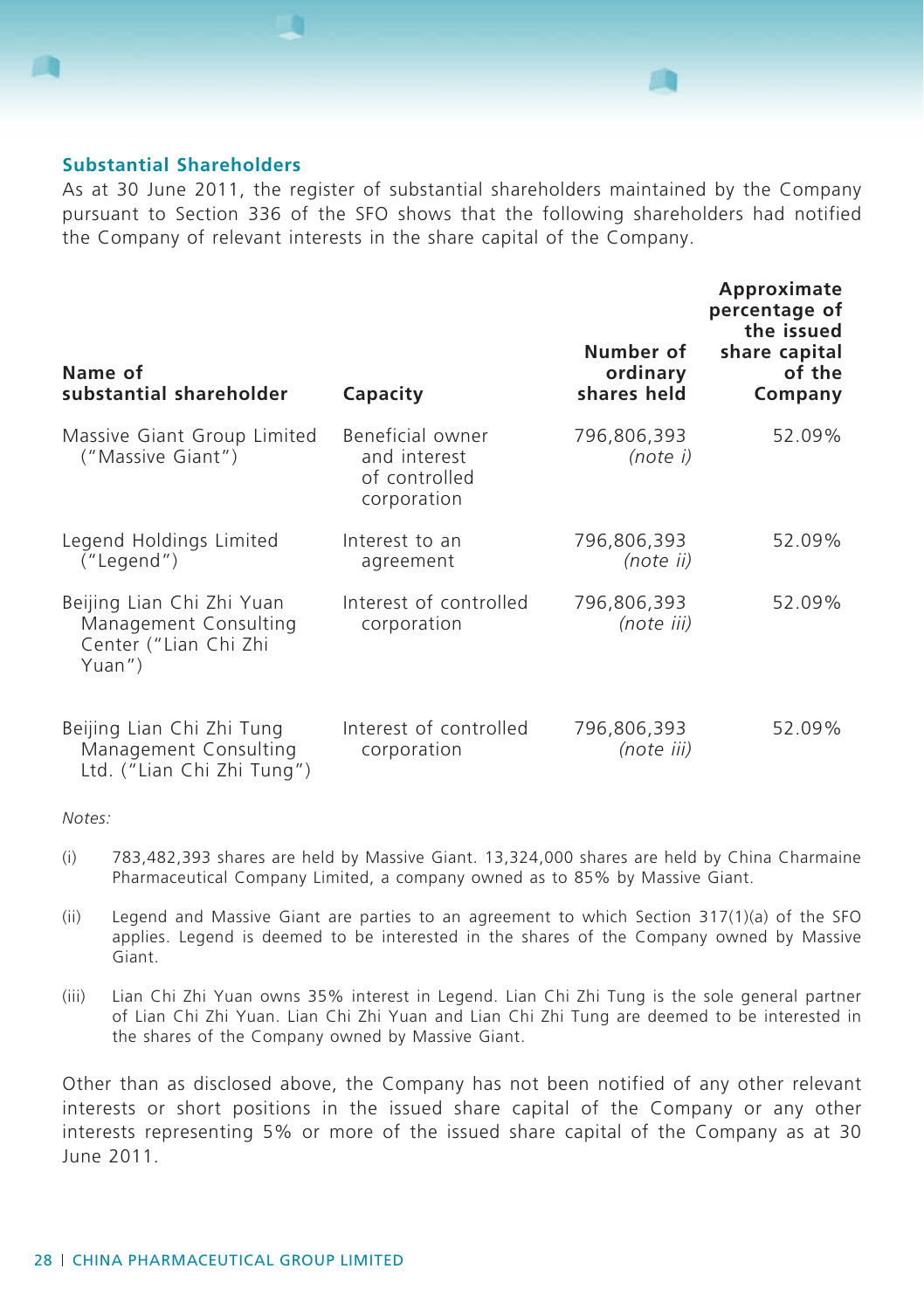

As at 30 June 2011, the register of substantial shareholders maintained by the Company pursuant to Section 336 of the SFO shows that the following shareholders had notified the Company of relevant interests in the share capital of the Company.

| Name of<br>substantial shareholder                                                    | Capacity                                                         | Number of<br>ordinary<br>shares held | Approximate<br>percentage of<br>the issued<br>share capital<br>of the<br>Company |
|---------------------------------------------------------------------------------------|------------------------------------------------------------------|--------------------------------------|----------------------------------------------------------------------------------|
| Massive Giant Group Limited<br>("Massive Giant")                                      | Beneficial owner<br>and interest<br>of controlled<br>corporation | 796,806,393<br>(note i)              | 52.09%                                                                           |
| Legend Holdings Limited<br>("Legend")                                                 | Interest to an<br>agreement                                      | 796,806,393<br>(note ii)             | 52.09%                                                                           |
| Beijing Lian Chi Zhi Yuan<br>Management Consulting<br>Center ("Lian Chi Zhi<br>Yuan") | Interest of controlled<br>corporation                            | 796,806,393<br>(note iii)            | 52.09%                                                                           |
| Beijing Lian Chi Zhi Tung<br>Management Consulting<br>Ltd. ("Lian Chi Zhi Tung")      | Interest of controlled<br>corporation                            | 796,806,393<br>(note iii)            | 52.09%                                                                           |

*Notes:*

- (i) 783,482,393 shares are held by Massive Giant. 13,324,000 shares are held by China Charmaine Pharmaceutical Company Limited, a company owned as to 85% by Massive Giant.
- (ii) Legend and Massive Giant are parties to an agreement to which Section 317(1)(a) of the SFO applies. Legend is deemed to be interested in the shares of the Company owned by Massive Giant.
- (iii) Lian Chi Zhi Yuan owns 35% interest in Legend. Lian Chi Zhi Tung is the sole general partner of Lian Chi Zhi Yuan. Lian Chi Zhi Yuan and Lian Chi Zhi Tung are deemed to be interested in the shares of the Company owned by Massive Giant.

Other than as disclosed above, the Company has not been notified of any other relevant interests or short positions in the issued share capital of the Company or any other interests representing 5% or more of the issued share capital of the Company as at 30 June 2011.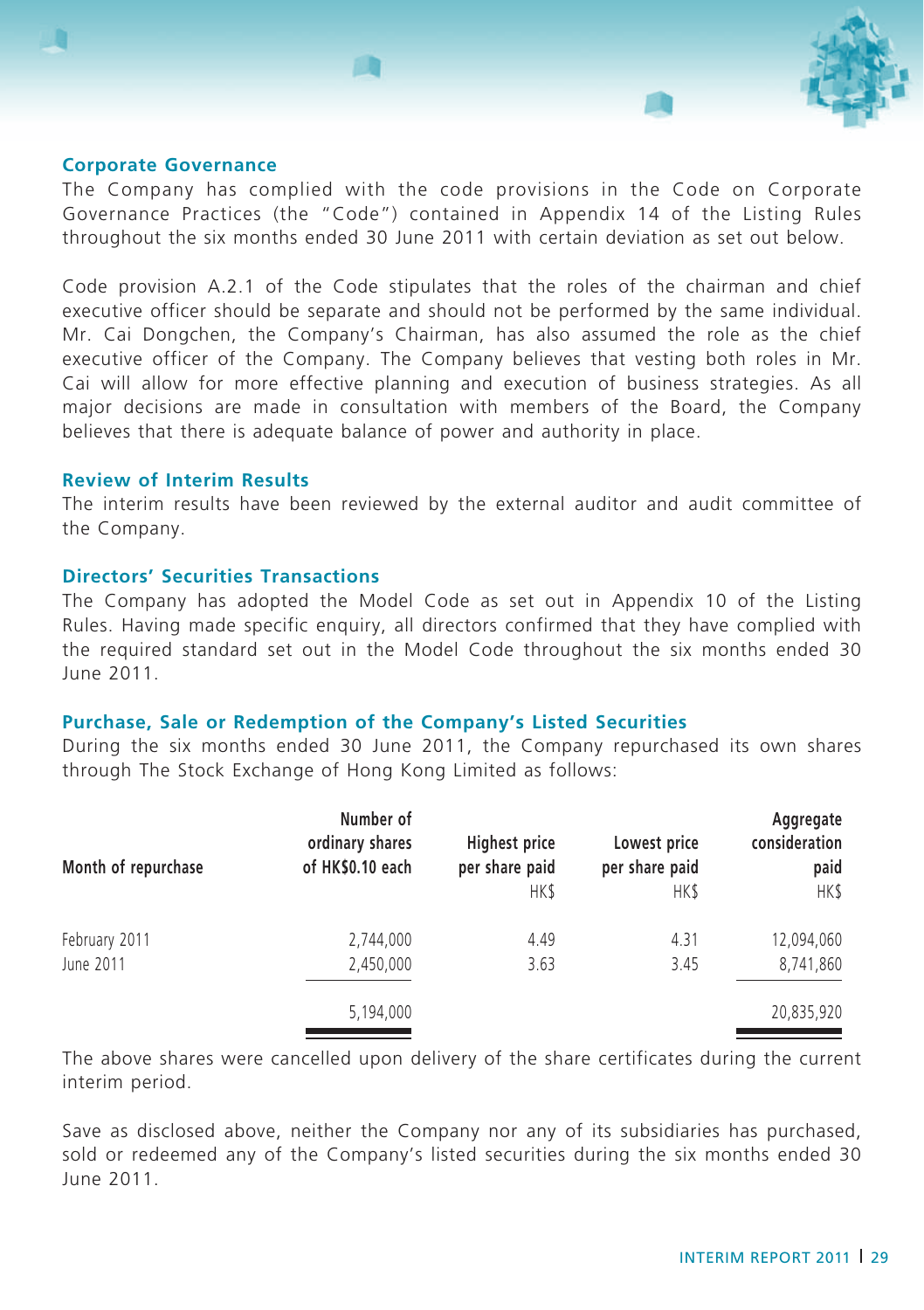#### **Corporate Governance**

The Company has complied with the code provisions in the Code on Corporate Governance Practices (the "Code") contained in Appendix 14 of the Listing Rules throughout the six months ended 30 June 2011 with certain deviation as set out below.

Code provision A.2.1 of the Code stipulates that the roles of the chairman and chief executive officer should be separate and should not be performed by the same individual. Mr. Cai Dongchen, the Company's Chairman, has also assumed the role as the chief executive officer of the Company. The Company believes that vesting both roles in Mr. Cai will allow for more effective planning and execution of business strategies. As all major decisions are made in consultation with members of the Board, the Company believes that there is adequate balance of power and authority in place.

# **Review of Interim Results**

The interim results have been reviewed by the external auditor and audit committee of the Company.

# **Directors' Securities Transactions**

The Company has adopted the Model Code as set out in Appendix 10 of the Listing Rules. Having made specific enquiry, all directors confirmed that they have complied with the required standard set out in the Model Code throughout the six months ended 30 June 2011.

### **Purchase, Sale or Redemption of the Company's Listed Securities**

During the six months ended 30 June 2011, the Company repurchased its own shares through The Stock Exchange of Hong Kong Limited as follows:

| Month of repurchase | Number of<br>ordinary shares<br>of HK\$0.10 each | Highest price<br>per share paid<br>HK\$ | Lowest price<br>per share paid<br>HK\$ | Aggregate<br>consideration<br>paid<br>HK\$ |
|---------------------|--------------------------------------------------|-----------------------------------------|----------------------------------------|--------------------------------------------|
| February 2011       | 2,744,000                                        | 4.49                                    | 4.31                                   | 12,094,060                                 |
| June 2011           | 2,450,000                                        | 3.63                                    | 3.45                                   | 8,741,860                                  |
|                     | 5,194,000                                        |                                         |                                        | 20,835,920                                 |

The above shares were cancelled upon delivery of the share certificates during the current interim period.

Save as disclosed above, neither the Company nor any of its subsidiaries has purchased, sold or redeemed any of the Company's listed securities during the six months ended 30 June 2011.